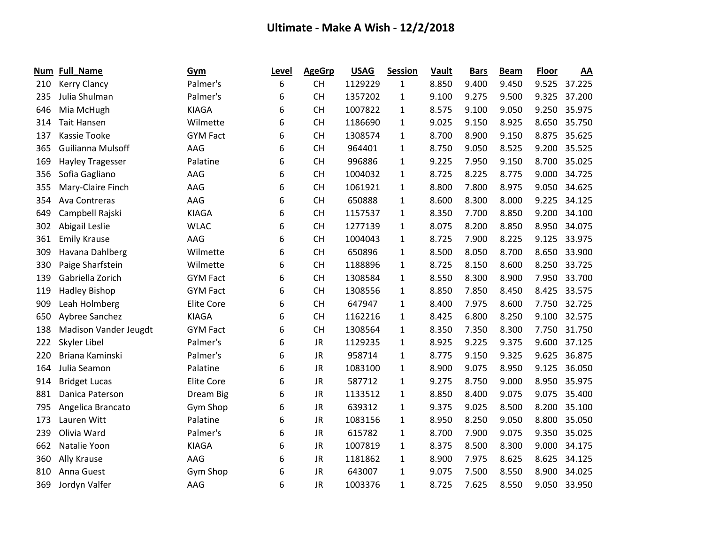| Num | <b>Full_Name</b>        | Gym               | Level | <b>AgeGrp</b> | <b>USAG</b> | <b>Session</b> | Vault | <b>Bars</b> | <b>Beam</b> | <b>Floor</b> | AA     |
|-----|-------------------------|-------------------|-------|---------------|-------------|----------------|-------|-------------|-------------|--------------|--------|
| 210 | <b>Kerry Clancy</b>     | Palmer's          | 6     | <b>CH</b>     | 1129229     | $\mathbf{1}$   | 8.850 | 9.400       | 9.450       | 9.525        | 37.225 |
| 235 | Julia Shulman           | Palmer's          | 6     | <b>CH</b>     | 1357202     | 1              | 9.100 | 9.275       | 9.500       | 9.325        | 37.200 |
| 646 | Mia McHugh              | <b>KIAGA</b>      | 6     | <b>CH</b>     | 1007822     | $\mathbf{1}$   | 8.575 | 9.100       | 9.050       | 9.250        | 35.975 |
| 314 | <b>Tait Hansen</b>      | Wilmette          | 6     | <b>CH</b>     | 1186690     | $\mathbf{1}$   | 9.025 | 9.150       | 8.925       | 8.650        | 35.750 |
| 137 | <b>Kassie Tooke</b>     | <b>GYM Fact</b>   | 6     | <b>CH</b>     | 1308574     | 1              | 8.700 | 8.900       | 9.150       | 8.875        | 35.625 |
| 365 | Guilianna Mulsoff       | AAG               | 6     | <b>CH</b>     | 964401      | $\mathbf{1}$   | 8.750 | 9.050       | 8.525       | 9.200        | 35.525 |
| 169 | <b>Hayley Tragesser</b> | Palatine          | 6     | <b>CH</b>     | 996886      | $\mathbf{1}$   | 9.225 | 7.950       | 9.150       | 8.700        | 35.025 |
| 356 | Sofia Gagliano          | AAG               | 6     | <b>CH</b>     | 1004032     | 1              | 8.725 | 8.225       | 8.775       | 9.000        | 34.725 |
| 355 | Mary-Claire Finch       | AAG               | 6     | <b>CH</b>     | 1061921     | 1              | 8.800 | 7.800       | 8.975       | 9.050        | 34.625 |
| 354 | Ava Contreras           | AAG               | 6     | <b>CH</b>     | 650888      | 1              | 8.600 | 8.300       | 8.000       | 9.225        | 34.125 |
| 649 | Campbell Rajski         | <b>KIAGA</b>      | 6     | <b>CH</b>     | 1157537     | 1              | 8.350 | 7.700       | 8.850       | 9.200        | 34.100 |
| 302 | Abigail Leslie          | <b>WLAC</b>       | 6     | <b>CH</b>     | 1277139     | 1              | 8.075 | 8.200       | 8.850       | 8.950        | 34.075 |
| 361 | <b>Emily Krause</b>     | AAG               | 6     | <b>CH</b>     | 1004043     | 1              | 8.725 | 7.900       | 8.225       | 9.125        | 33.975 |
| 309 | Havana Dahlberg         | Wilmette          | 6     | <b>CH</b>     | 650896      | $\mathbf{1}$   | 8.500 | 8.050       | 8.700       | 8.650        | 33.900 |
| 330 | Paige Sharfstein        | Wilmette          | 6     | <b>CH</b>     | 1188896     | 1              | 8.725 | 8.150       | 8.600       | 8.250        | 33.725 |
| 139 | Gabriella Zorich        | <b>GYM Fact</b>   | 6     | <b>CH</b>     | 1308584     | 1              | 8.550 | 8.300       | 8.900       | 7.950        | 33.700 |
| 119 | <b>Hadley Bishop</b>    | <b>GYM Fact</b>   | 6     | <b>CH</b>     | 1308556     | $\mathbf{1}$   | 8.850 | 7.850       | 8.450       | 8.425        | 33.575 |
| 909 | Leah Holmberg           | <b>Elite Core</b> | 6     | <b>CH</b>     | 647947      | 1              | 8.400 | 7.975       | 8.600       | 7.750        | 32.725 |
| 650 | Aybree Sanchez          | <b>KIAGA</b>      | 6     | <b>CH</b>     | 1162216     | $\mathbf{1}$   | 8.425 | 6.800       | 8.250       | 9.100        | 32.575 |
| 138 | Madison Vander Jeugdt   | <b>GYM Fact</b>   | 6     | <b>CH</b>     | 1308564     | 1              | 8.350 | 7.350       | 8.300       | 7.750        | 31.750 |
| 222 | Skyler Libel            | Palmer's          | 6     | <b>JR</b>     | 1129235     | $\mathbf{1}$   | 8.925 | 9.225       | 9.375       | 9.600        | 37.125 |
| 220 | Briana Kaminski         | Palmer's          | 6     | <b>JR</b>     | 958714      | 1              | 8.775 | 9.150       | 9.325       | 9.625        | 36.875 |
| 164 | Julia Seamon            | Palatine          | 6     | <b>JR</b>     | 1083100     | 1              | 8.900 | 9.075       | 8.950       | 9.125        | 36.050 |
| 914 | <b>Bridget Lucas</b>    | <b>Elite Core</b> | 6     | <b>JR</b>     | 587712      | $\mathbf{1}$   | 9.275 | 8.750       | 9.000       | 8.950        | 35.975 |
| 881 | Danica Paterson         | Dream Big         | 6     | <b>JR</b>     | 1133512     | 1              | 8.850 | 8.400       | 9.075       | 9.075        | 35.400 |
| 795 | Angelica Brancato       | Gym Shop          | 6     | <b>JR</b>     | 639312      | 1              | 9.375 | 9.025       | 8.500       | 8.200        | 35.100 |
| 173 | Lauren Witt             | Palatine          | 6     | <b>JR</b>     | 1083156     | 1              | 8.950 | 8.250       | 9.050       | 8.800        | 35.050 |
| 239 | Olivia Ward             | Palmer's          | 6     | <b>JR</b>     | 615782      | 1              | 8.700 | 7.900       | 9.075       | 9.350        | 35.025 |
| 662 | Natalie Yoon            | <b>KIAGA</b>      | 6     | <b>JR</b>     | 1007819     | 1              | 8.375 | 8.500       | 8.300       | 9.000        | 34.175 |
| 360 | Ally Krause             | AAG               | 6     | <b>JR</b>     | 1181862     | 1              | 8.900 | 7.975       | 8.625       | 8.625        | 34.125 |
| 810 | Anna Guest              | Gym Shop          | 6     | <b>JR</b>     | 643007      | 1              | 9.075 | 7.500       | 8.550       | 8.900        | 34.025 |
| 369 | Jordyn Valfer           | AAG               | 6     | <b>JR</b>     | 1003376     | $\mathbf{1}$   | 8.725 | 7.625       | 8.550       | 9.050        | 33.950 |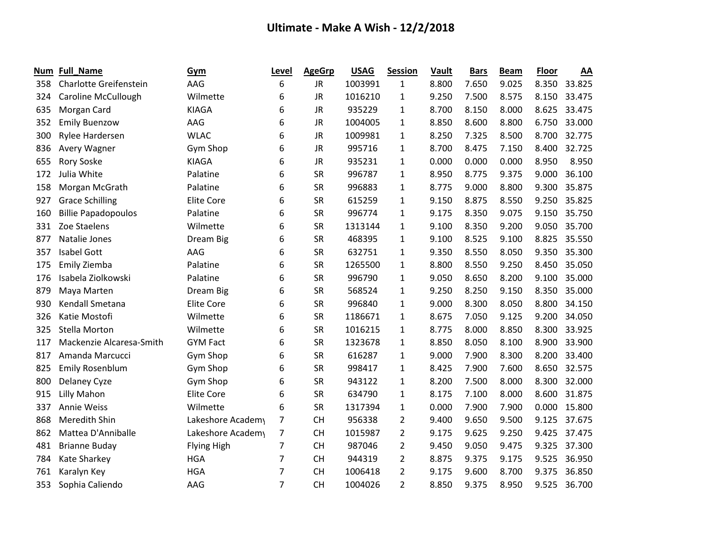| Num | Full_Name                  | Gym                | Level          | <b>AgeGrp</b> | <b>USAG</b> | Session        | <b>Vault</b> | <b>Bars</b> | <b>Beam</b> | <b>Floor</b> | AA     |
|-----|----------------------------|--------------------|----------------|---------------|-------------|----------------|--------------|-------------|-------------|--------------|--------|
| 358 | Charlotte Greifenstein     | AAG                | 6              | <b>JR</b>     | 1003991     | 1              | 8.800        | 7.650       | 9.025       | 8.350        | 33.825 |
| 324 | <b>Caroline McCullough</b> | Wilmette           | 6              | <b>JR</b>     | 1016210     | 1              | 9.250        | 7.500       | 8.575       | 8.150        | 33.475 |
| 635 | Morgan Card                | <b>KIAGA</b>       | 6              | <b>JR</b>     | 935229      | 1              | 8.700        | 8.150       | 8.000       | 8.625        | 33.475 |
| 352 | <b>Emily Buenzow</b>       | AAG                | 6              | JR            | 1004005     | $\mathbf{1}$   | 8.850        | 8.600       | 8.800       | 6.750        | 33.000 |
| 300 | Rylee Hardersen            | <b>WLAC</b>        | 6              | <b>JR</b>     | 1009981     | 1              | 8.250        | 7.325       | 8.500       | 8.700        | 32.775 |
| 836 | Avery Wagner               | Gym Shop           | 6              | <b>JR</b>     | 995716      | $\mathbf{1}$   | 8.700        | 8.475       | 7.150       | 8.400        | 32.725 |
| 655 | Rory Soske                 | <b>KIAGA</b>       | 6              | <b>JR</b>     | 935231      | 1              | 0.000        | 0.000       | 0.000       | 8.950        | 8.950  |
| 172 | Julia White                | Palatine           | 6              | <b>SR</b>     | 996787      | 1              | 8.950        | 8.775       | 9.375       | 9.000        | 36.100 |
| 158 | Morgan McGrath             | Palatine           | 6              | <b>SR</b>     | 996883      | 1              | 8.775        | 9.000       | 8.800       | 9.300        | 35.875 |
| 927 | <b>Grace Schilling</b>     | <b>Elite Core</b>  | 6              | <b>SR</b>     | 615259      | 1              | 9.150        | 8.875       | 8.550       | 9.250        | 35.825 |
| 160 | <b>Billie Papadopoulos</b> | Palatine           | 6              | <b>SR</b>     | 996774      | 1              | 9.175        | 8.350       | 9.075       | 9.150        | 35.750 |
| 331 | Zoe Staelens               | Wilmette           | 6              | <b>SR</b>     | 1313144     | 1              | 9.100        | 8.350       | 9.200       | 9.050        | 35.700 |
| 877 | Natalie Jones              | Dream Big          | 6              | <b>SR</b>     | 468395      | 1              | 9.100        | 8.525       | 9.100       | 8.825        | 35.550 |
| 357 | <b>Isabel Gott</b>         | AAG                | 6              | <b>SR</b>     | 632751      | 1              | 9.350        | 8.550       | 8.050       | 9.350        | 35.300 |
| 175 | Emily Ziemba               | Palatine           | 6              | <b>SR</b>     | 1265500     | $\mathbf{1}$   | 8.800        | 8.550       | 9.250       | 8.450        | 35.050 |
| 176 | Isabela Ziolkowski         | Palatine           | 6              | <b>SR</b>     | 996790      | 1              | 9.050        | 8.650       | 8.200       | 9.100        | 35.000 |
| 879 | Maya Marten                | Dream Big          | 6              | <b>SR</b>     | 568524      | $\mathbf{1}$   | 9.250        | 8.250       | 9.150       | 8.350        | 35.000 |
| 930 | Kendall Smetana            | <b>Elite Core</b>  | 6              | <b>SR</b>     | 996840      | 1              | 9.000        | 8.300       | 8.050       | 8.800        | 34.150 |
| 326 | Katie Mostofi              | Wilmette           | 6              | <b>SR</b>     | 1186671     | $\mathbf{1}$   | 8.675        | 7.050       | 9.125       | 9.200        | 34.050 |
| 325 | <b>Stella Morton</b>       | Wilmette           | 6              | <b>SR</b>     | 1016215     | 1              | 8.775        | 8.000       | 8.850       | 8.300        | 33.925 |
| 117 | Mackenzie Alcaresa-Smith   | <b>GYM Fact</b>    | 6              | <b>SR</b>     | 1323678     | $\mathbf{1}$   | 8.850        | 8.050       | 8.100       | 8.900        | 33.900 |
| 817 | Amanda Marcucci            | Gym Shop           | 6              | <b>SR</b>     | 616287      | 1              | 9.000        | 7.900       | 8.300       | 8.200        | 33.400 |
| 825 | <b>Emily Rosenblum</b>     | Gym Shop           | 6              | <b>SR</b>     | 998417      | 1              | 8.425        | 7.900       | 7.600       | 8.650        | 32.575 |
| 800 | <b>Delaney Cyze</b>        | Gym Shop           | 6              | <b>SR</b>     | 943122      | $\mathbf{1}$   | 8.200        | 7.500       | 8.000       | 8.300        | 32.000 |
| 915 | Lilly Mahon                | <b>Elite Core</b>  | 6              | <b>SR</b>     | 634790      | $\mathbf{1}$   | 8.175        | 7.100       | 8.000       | 8.600        | 31.875 |
| 337 | <b>Annie Weiss</b>         | Wilmette           | 6              | <b>SR</b>     | 1317394     | 1              | 0.000        | 7.900       | 7.900       | 0.000        | 15.800 |
| 868 | Meredith Shin              | Lakeshore Academy  | 7              | <b>CH</b>     | 956338      | 2              | 9.400        | 9.650       | 9.500       | 9.125        | 37.675 |
| 862 | Mattea D'Anniballe         | Lakeshore Academy  | 7              | <b>CH</b>     | 1015987     | $\overline{2}$ | 9.175        | 9.625       | 9.250       | 9.425        | 37.475 |
| 481 | <b>Brianne Buday</b>       | <b>Flying High</b> | 7              | <b>CH</b>     | 987046      | $\overline{2}$ | 9.450        | 9.050       | 9.475       | 9.325        | 37.300 |
| 784 | Kate Sharkey               | <b>HGA</b>         | 7              | <b>CH</b>     | 944319      | 2              | 8.875        | 9.375       | 9.175       | 9.525        | 36.950 |
| 761 | Karalyn Key                | <b>HGA</b>         | 7              | <b>CH</b>     | 1006418     | 2              | 9.175        | 9.600       | 8.700       | 9.375        | 36.850 |
| 353 | Sophia Caliendo            | AAG                | $\overline{7}$ | <b>CH</b>     | 1004026     | $\overline{2}$ | 8.850        | 9.375       | 8.950       | 9.525        | 36.700 |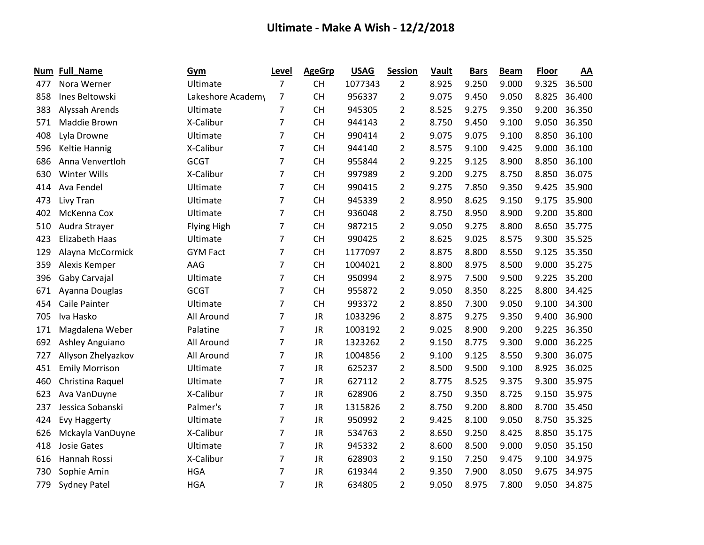| Num | Full_Name             | Gym                | Level          | <b>AgeGrp</b> | <b>USAG</b> | <b>Session</b> | Vault | <b>Bars</b> | <b>Beam</b> | <b>Floor</b> | AA     |
|-----|-----------------------|--------------------|----------------|---------------|-------------|----------------|-------|-------------|-------------|--------------|--------|
| 477 | Nora Werner           | Ultimate           | $\overline{7}$ | <b>CH</b>     | 1077343     | $\overline{2}$ | 8.925 | 9.250       | 9.000       | 9.325        | 36.500 |
| 858 | Ines Beltowski        | Lakeshore Academy  | 7              | <b>CH</b>     | 956337      | 2              | 9.075 | 9.450       | 9.050       | 8.825        | 36.400 |
| 383 | Alyssah Arends        | Ultimate           | $\overline{7}$ | <b>CH</b>     | 945305      | $\overline{2}$ | 8.525 | 9.275       | 9.350       | 9.200        | 36.350 |
| 571 | Maddie Brown          | X-Calibur          | $\overline{7}$ | <b>CH</b>     | 944143      | $\overline{2}$ | 8.750 | 9.450       | 9.100       | 9.050        | 36.350 |
| 408 | Lyla Drowne           | Ultimate           | 7              | <b>CH</b>     | 990414      | 2              | 9.075 | 9.075       | 9.100       | 8.850        | 36.100 |
| 596 | <b>Keltie Hannig</b>  | X-Calibur          | 7              | <b>CH</b>     | 944140      | $\overline{2}$ | 8.575 | 9.100       | 9.425       | 9.000        | 36.100 |
| 686 | Anna Venvertloh       | <b>GCGT</b>        | $\overline{7}$ | <b>CH</b>     | 955844      | $\overline{2}$ | 9.225 | 9.125       | 8.900       | 8.850        | 36.100 |
| 630 | Winter Wills          | X-Calibur          | $\overline{7}$ | <b>CH</b>     | 997989      | $\overline{2}$ | 9.200 | 9.275       | 8.750       | 8.850        | 36.075 |
| 414 | Ava Fendel            | Ultimate           | 7              | <b>CH</b>     | 990415      | $\overline{2}$ | 9.275 | 7.850       | 9.350       | 9.425        | 35.900 |
| 473 | Livy Tran             | Ultimate           | $\overline{7}$ | <b>CH</b>     | 945339      | $\overline{2}$ | 8.950 | 8.625       | 9.150       | 9.175        | 35.900 |
| 402 | McKenna Cox           | Ultimate           | $\overline{7}$ | <b>CH</b>     | 936048      | $\overline{2}$ | 8.750 | 8.950       | 8.900       | 9.200        | 35.800 |
| 510 | Audra Strayer         | <b>Flying High</b> | 7              | <b>CH</b>     | 987215      | $\overline{2}$ | 9.050 | 9.275       | 8.800       | 8.650        | 35.775 |
| 423 | <b>Elizabeth Haas</b> | Ultimate           | 7              | <b>CH</b>     | 990425      | $\overline{2}$ | 8.625 | 9.025       | 8.575       | 9.300        | 35.525 |
| 129 | Alayna McCormick      | <b>GYM Fact</b>    | 7              | <b>CH</b>     | 1177097     | $\overline{2}$ | 8.875 | 8.800       | 8.550       | 9.125        | 35.350 |
| 359 | Alexis Kemper         | AAG                | 7              | <b>CH</b>     | 1004021     | 2              | 8.800 | 8.975       | 8.500       | 9.000        | 35.275 |
| 396 | Gaby Carvajal         | Ultimate           | 7              | <b>CH</b>     | 950994      | $\overline{2}$ | 8.975 | 7.500       | 9.500       | 9.225        | 35.200 |
| 671 | Ayanna Douglas        | <b>GCGT</b>        | 7              | <b>CH</b>     | 955872      | 2              | 9.050 | 8.350       | 8.225       | 8.800        | 34.425 |
| 454 | <b>Caile Painter</b>  | Ultimate           | $\overline{7}$ | <b>CH</b>     | 993372      | $\overline{2}$ | 8.850 | 7.300       | 9.050       | 9.100        | 34.300 |
| 705 | Iva Hasko             | All Around         | $\overline{7}$ | JR            | 1033296     | $\overline{2}$ | 8.875 | 9.275       | 9.350       | 9.400        | 36.900 |
| 171 | Magdalena Weber       | Palatine           | 7              | <b>JR</b>     | 1003192     | $\overline{2}$ | 9.025 | 8.900       | 9.200       | 9.225        | 36.350 |
| 692 | Ashley Anguiano       | All Around         | $\overline{7}$ | <b>JR</b>     | 1323262     | $\overline{2}$ | 9.150 | 8.775       | 9.300       | 9.000        | 36.225 |
| 727 | Allyson Zhelyazkov    | All Around         | $\overline{7}$ | <b>JR</b>     | 1004856     | $\overline{2}$ | 9.100 | 9.125       | 8.550       | 9.300        | 36.075 |
| 451 | <b>Emily Morrison</b> | Ultimate           | 7              | <b>JR</b>     | 625237      | 2              | 8.500 | 9.500       | 9.100       | 8.925        | 36.025 |
| 460 | Christina Raquel      | Ultimate           | 7              | <b>JR</b>     | 627112      | 2              | 8.775 | 8.525       | 9.375       | 9.300        | 35.975 |
| 623 | Ava VanDuyne          | X-Calibur          | $\overline{7}$ | <b>JR</b>     | 628906      | $\overline{2}$ | 8.750 | 9.350       | 8.725       | 9.150        | 35.975 |
| 237 | Jessica Sobanski      | Palmer's           | 7              | <b>JR</b>     | 1315826     | $\overline{2}$ | 8.750 | 9.200       | 8.800       | 8.700        | 35.450 |
| 424 | <b>Evy Haggerty</b>   | Ultimate           | 7              | <b>JR</b>     | 950992      | $\overline{2}$ | 9.425 | 8.100       | 9.050       | 8.750        | 35.325 |
| 626 | Mckayla VanDuyne      | X-Calibur          | $\overline{7}$ | JR            | 534763      | $\overline{2}$ | 8.650 | 9.250       | 8.425       | 8.850        | 35.175 |
| 418 | <b>Josie Gates</b>    | Ultimate           | 7              | JR            | 945332      | $\overline{2}$ | 8.600 | 8.500       | 9.000       | 9.050        | 35.150 |
| 616 | Hannah Rossi          | X-Calibur          | 7              | <b>JR</b>     | 628903      | $\overline{2}$ | 9.150 | 7.250       | 9.475       | 9.100        | 34.975 |
| 730 | Sophie Amin           | <b>HGA</b>         | 7              | <b>JR</b>     | 619344      | $\overline{2}$ | 9.350 | 7.900       | 8.050       | 9.675        | 34.975 |
| 779 | <b>Sydney Patel</b>   | <b>HGA</b>         | 7              | <b>JR</b>     | 634805      | $\overline{2}$ | 9.050 | 8.975       | 7.800       | 9.050        | 34.875 |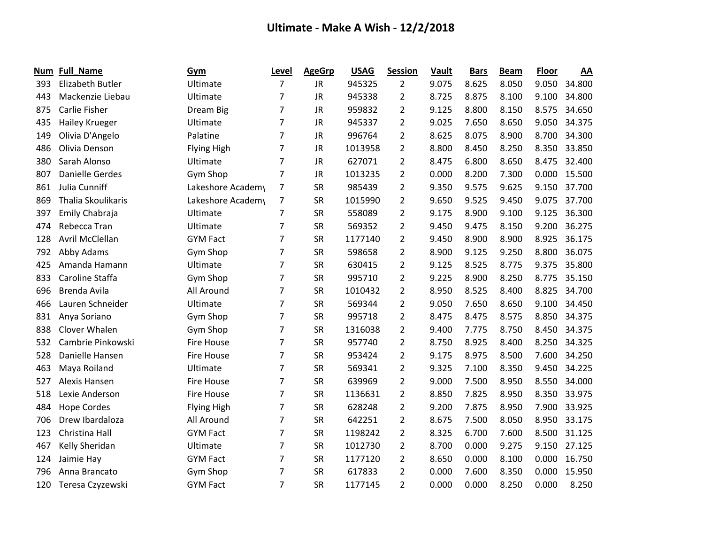| Num | <b>Full_Name</b>          | Gym                | Level          | <b>AgeGrp</b> | <b>USAG</b> | <b>Session</b> | Vault | <b>Bars</b> | <b>Beam</b> | Floor | AA     |
|-----|---------------------------|--------------------|----------------|---------------|-------------|----------------|-------|-------------|-------------|-------|--------|
| 393 | <b>Elizabeth Butler</b>   | Ultimate           | $\overline{7}$ | <b>JR</b>     | 945325      | $\overline{2}$ | 9.075 | 8.625       | 8.050       | 9.050 | 34.800 |
| 443 | Mackenzie Liebau          | Ultimate           | 7              | <b>JR</b>     | 945338      | $\overline{2}$ | 8.725 | 8.875       | 8.100       | 9.100 | 34.800 |
| 875 | Carlie Fisher             | Dream Big          | 7              | <b>JR</b>     | 959832      | $\overline{2}$ | 9.125 | 8.800       | 8.150       | 8.575 | 34.650 |
| 435 | <b>Hailey Krueger</b>     | Ultimate           | 7              | <b>JR</b>     | 945337      | $\overline{2}$ | 9.025 | 7.650       | 8.650       | 9.050 | 34.375 |
| 149 | Olivia D'Angelo           | Palatine           | 7              | <b>JR</b>     | 996764      | $\overline{2}$ | 8.625 | 8.075       | 8.900       | 8.700 | 34.300 |
| 486 | Olivia Denson             | Flying High        | 7              | JR            | 1013958     | 2              | 8.800 | 8.450       | 8.250       | 8.350 | 33.850 |
| 380 | Sarah Alonso              | Ultimate           | $\overline{7}$ | <b>JR</b>     | 627071      | $\overline{2}$ | 8.475 | 6.800       | 8.650       | 8.475 | 32.400 |
| 807 | <b>Danielle Gerdes</b>    | Gym Shop           | 7              | <b>JR</b>     | 1013235     | $\overline{2}$ | 0.000 | 8.200       | 7.300       | 0.000 | 15.500 |
| 861 | Julia Cunniff             | Lakeshore Academy  | 7              | <b>SR</b>     | 985439      | $\overline{2}$ | 9.350 | 9.575       | 9.625       | 9.150 | 37.700 |
| 869 | <b>Thalia Skoulikaris</b> | Lakeshore Academy  | 7              | <b>SR</b>     | 1015990     | 2              | 9.650 | 9.525       | 9.450       | 9.075 | 37.700 |
| 397 | Emily Chabraja            | Ultimate           | 7              | <b>SR</b>     | 558089      | $\overline{2}$ | 9.175 | 8.900       | 9.100       | 9.125 | 36.300 |
| 474 | Rebecca Tran              | Ultimate           | 7              | <b>SR</b>     | 569352      | $\overline{2}$ | 9.450 | 9.475       | 8.150       | 9.200 | 36.275 |
| 128 | <b>Avril McClellan</b>    | <b>GYM Fact</b>    | 7              | SR            | 1177140     | 2              | 9.450 | 8.900       | 8.900       | 8.925 | 36.175 |
| 792 | Abby Adams                | Gym Shop           | 7              | <b>SR</b>     | 598658      | $\overline{2}$ | 8.900 | 9.125       | 9.250       | 8.800 | 36.075 |
| 425 | Amanda Hamann             | Ultimate           | $\overline{7}$ | <b>SR</b>     | 630415      | $\overline{2}$ | 9.125 | 8.525       | 8.775       | 9.375 | 35.800 |
| 833 | Caroline Staffa           | Gym Shop           | 7              | <b>SR</b>     | 995710      | $\overline{2}$ | 9.225 | 8.900       | 8.250       | 8.775 | 35.150 |
| 696 | Brenda Avila              | All Around         | 7              | <b>SR</b>     | 1010432     | 2              | 8.950 | 8.525       | 8.400       | 8.825 | 34.700 |
| 466 | Lauren Schneider          | Ultimate           | 7              | <b>SR</b>     | 569344      | $\overline{2}$ | 9.050 | 7.650       | 8.650       | 9.100 | 34.450 |
| 831 | Anya Soriano              | Gym Shop           | 7              | <b>SR</b>     | 995718      | $\overline{2}$ | 8.475 | 8.475       | 8.575       | 8.850 | 34.375 |
| 838 | Clover Whalen             | Gym Shop           | 7              | <b>SR</b>     | 1316038     | $\overline{2}$ | 9.400 | 7.775       | 8.750       | 8.450 | 34.375 |
| 532 | Cambrie Pinkowski         | <b>Fire House</b>  | 7              | <b>SR</b>     | 957740      | $\overline{2}$ | 8.750 | 8.925       | 8.400       | 8.250 | 34.325 |
| 528 | Danielle Hansen           | <b>Fire House</b>  | 7              | <b>SR</b>     | 953424      | $\overline{2}$ | 9.175 | 8.975       | 8.500       | 7.600 | 34.250 |
| 463 | Maya Roiland              | Ultimate           | 7              | SR            | 569341      | $\overline{2}$ | 9.325 | 7.100       | 8.350       | 9.450 | 34.225 |
| 527 | Alexis Hansen             | Fire House         | 7              | <b>SR</b>     | 639969      | 2              | 9.000 | 7.500       | 8.950       | 8.550 | 34.000 |
| 518 | Lexie Anderson            | <b>Fire House</b>  | 7              | <b>SR</b>     | 1136631     | $\overline{2}$ | 8.850 | 7.825       | 8.950       | 8.350 | 33.975 |
| 484 | <b>Hope Cordes</b>        | <b>Flying High</b> | $\overline{7}$ | <b>SR</b>     | 628248      | $\overline{2}$ | 9.200 | 7.875       | 8.950       | 7.900 | 33.925 |
| 706 | Drew Ibardaloza           | All Around         | 7              | <b>SR</b>     | 642251      | $\overline{2}$ | 8.675 | 7.500       | 8.050       | 8.950 | 33.175 |
| 123 | Christina Hall            | <b>GYM Fact</b>    | 7              | <b>SR</b>     | 1198242     | $\overline{2}$ | 8.325 | 6.700       | 7.600       | 8.500 | 31.125 |
| 467 | Kelly Sheridan            | Ultimate           | 7              | <b>SR</b>     | 1012730     | $\overline{2}$ | 8.700 | 0.000       | 9.275       | 9.150 | 27.125 |
| 124 | Jaimie Hay                | <b>GYM Fact</b>    | 7              | <b>SR</b>     | 1177120     | 2              | 8.650 | 0.000       | 8.100       | 0.000 | 16.750 |
| 796 | Anna Brancato             | Gym Shop           | 7              | <b>SR</b>     | 617833      | 2              | 0.000 | 7.600       | 8.350       | 0.000 | 15.950 |
| 120 | Teresa Czyzewski          | <b>GYM Fact</b>    | $\overline{7}$ | <b>SR</b>     | 1177145     | $\overline{2}$ | 0.000 | 0.000       | 8.250       | 0.000 | 8.250  |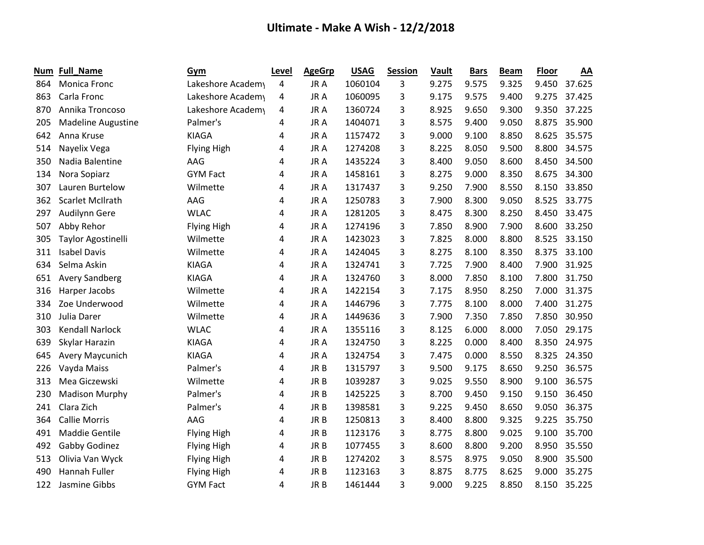| Num | Full_Name                 | Gym                | Level | <b>AgeGrp</b>   | <b>USAG</b> | <b>Session</b> | Vault | <b>Bars</b> | <b>Beam</b> | Floor | AA     |
|-----|---------------------------|--------------------|-------|-----------------|-------------|----------------|-------|-------------|-------------|-------|--------|
| 864 | Monica Fronc              | Lakeshore Academy  | 4     | JR A            | 1060104     | 3              | 9.275 | 9.575       | 9.325       | 9.450 | 37.625 |
| 863 | Carla Fronc               | Lakeshore Academy  | 4     | JR A            | 1060095     | 3              | 9.175 | 9.575       | 9.400       | 9.275 | 37.425 |
| 870 | Annika Troncoso           | Lakeshore Academy  | 4     | JR A            | 1360724     | 3              | 8.925 | 9.650       | 9.300       | 9.350 | 37.225 |
| 205 | <b>Madeline Augustine</b> | Palmer's           | 4     | JR A            | 1404071     | 3              | 8.575 | 9.400       | 9.050       | 8.875 | 35.900 |
| 642 | Anna Kruse                | <b>KIAGA</b>       | 4     | JR A            | 1157472     | 3              | 9.000 | 9.100       | 8.850       | 8.625 | 35.575 |
| 514 | Nayelix Vega              | <b>Flying High</b> | 4     | JR A            | 1274208     | 3              | 8.225 | 8.050       | 9.500       | 8.800 | 34.575 |
| 350 | Nadia Balentine           | AAG                | 4     | JR A            | 1435224     | 3              | 8.400 | 9.050       | 8.600       | 8.450 | 34.500 |
| 134 | Nora Sopiarz              | <b>GYM Fact</b>    | 4     | JR A            | 1458161     | 3              | 8.275 | 9.000       | 8.350       | 8.675 | 34.300 |
| 307 | Lauren Burtelow           | Wilmette           | 4     | JR A            | 1317437     | 3              | 9.250 | 7.900       | 8.550       | 8.150 | 33.850 |
| 362 | <b>Scarlet McIlrath</b>   | AAG                | 4     | JR A            | 1250783     | 3              | 7.900 | 8.300       | 9.050       | 8.525 | 33.775 |
| 297 | Audilynn Gere             | <b>WLAC</b>        | 4     | JR A            | 1281205     | 3              | 8.475 | 8.300       | 8.250       | 8.450 | 33.475 |
| 507 | Abby Rehor                | <b>Flying High</b> | 4     | JR A            | 1274196     | 3              | 7.850 | 8.900       | 7.900       | 8.600 | 33.250 |
| 305 | Taylor Agostinelli        | Wilmette           | 4     | JR A            | 1423023     | 3              | 7.825 | 8.000       | 8.800       | 8.525 | 33.150 |
| 311 | <b>Isabel Davis</b>       | Wilmette           | 4     | JR A            | 1424045     | 3              | 8.275 | 8.100       | 8.350       | 8.375 | 33.100 |
| 634 | Selma Askin               | <b>KIAGA</b>       | 4     | JR A            | 1324741     | 3              | 7.725 | 7.900       | 8.400       | 7.900 | 31.925 |
| 651 | <b>Avery Sandberg</b>     | <b>KIAGA</b>       | 4     | JR A            | 1324760     | 3              | 8.000 | 7.850       | 8.100       | 7.800 | 31.750 |
| 316 | Harper Jacobs             | Wilmette           | 4     | JR A            | 1422154     | 3              | 7.175 | 8.950       | 8.250       | 7.000 | 31.375 |
| 334 | Zoe Underwood             | Wilmette           | 4     | JR A            | 1446796     | 3              | 7.775 | 8.100       | 8.000       | 7.400 | 31.275 |
| 310 | Julia Darer               | Wilmette           | 4     | JR A            | 1449636     | 3              | 7.900 | 7.350       | 7.850       | 7.850 | 30.950 |
| 303 | <b>Kendall Narlock</b>    | <b>WLAC</b>        | 4     | JR A            | 1355116     | 3              | 8.125 | 6.000       | 8.000       | 7.050 | 29.175 |
| 639 | Skylar Harazin            | <b>KIAGA</b>       | 4     | JR A            | 1324750     | 3              | 8.225 | 0.000       | 8.400       | 8.350 | 24.975 |
| 645 | Avery Maycunich           | <b>KIAGA</b>       | 4     | JR A            | 1324754     | 3              | 7.475 | 0.000       | 8.550       | 8.325 | 24.350 |
| 226 | Vayda Maiss               | Palmer's           | 4     | JR B            | 1315797     | 3              | 9.500 | 9.175       | 8.650       | 9.250 | 36.575 |
| 313 | Mea Giczewski             | Wilmette           | 4     | JR <sub>B</sub> | 1039287     | 3              | 9.025 | 9.550       | 8.900       | 9.100 | 36.575 |
| 230 | <b>Madison Murphy</b>     | Palmer's           | 4     | JR B            | 1425225     | 3              | 8.700 | 9.450       | 9.150       | 9.150 | 36.450 |
| 241 | Clara Zich                | Palmer's           | 4     | JR B            | 1398581     | 3              | 9.225 | 9.450       | 8.650       | 9.050 | 36.375 |
| 364 | <b>Callie Morris</b>      | AAG                | 4     | JR B            | 1250813     | 3              | 8.400 | 8.800       | 9.325       | 9.225 | 35.750 |
| 491 | <b>Maddie Gentile</b>     | <b>Flying High</b> | 4     | JR B            | 1123176     | 3              | 8.775 | 8.800       | 9.025       | 9.100 | 35.700 |
| 492 | Gabby Godinez             | Flying High        | 4     | JR B            | 1077455     | 3              | 8.600 | 8.800       | 9.200       | 8.950 | 35.550 |
| 513 | Olivia Van Wyck           | <b>Flying High</b> | 4     | JR B            | 1274202     | 3              | 8.575 | 8.975       | 9.050       | 8.900 | 35.500 |
| 490 | Hannah Fuller             | <b>Flying High</b> | 4     | JR B            | 1123163     | 3              | 8.875 | 8.775       | 8.625       | 9.000 | 35.275 |
| 122 | Jasmine Gibbs             | <b>GYM Fact</b>    | 4     | JR B            | 1461444     | 3              | 9.000 | 9.225       | 8.850       | 8.150 | 35.225 |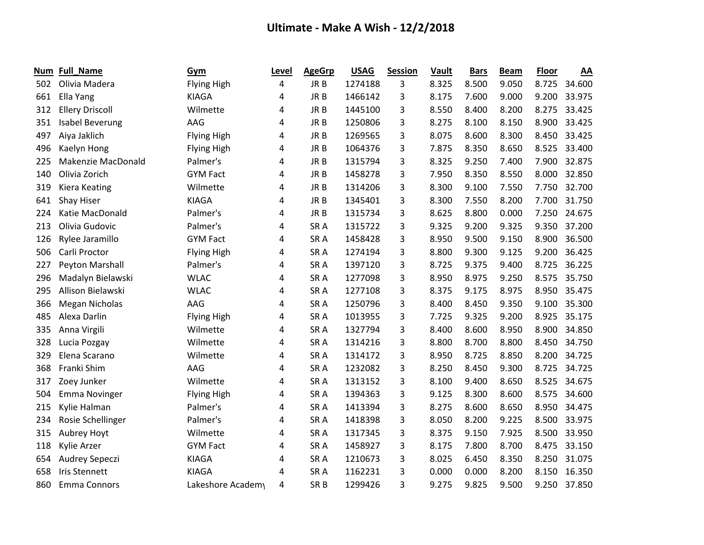| Num | Full_Name              | Gym                | Level | <b>AgeGrp</b>   | <b>USAG</b> | <b>Session</b> | <b>Vault</b> | <b>Bars</b> | <b>Beam</b> | Floor | AA     |
|-----|------------------------|--------------------|-------|-----------------|-------------|----------------|--------------|-------------|-------------|-------|--------|
| 502 | Olivia Madera          | <b>Flying High</b> | 4     | JR B            | 1274188     | 3              | 8.325        | 8.500       | 9.050       | 8.725 | 34.600 |
| 661 | Ella Yang              | <b>KIAGA</b>       | 4     | JR B            | 1466142     | 3              | 8.175        | 7.600       | 9.000       | 9.200 | 33.975 |
| 312 | <b>Ellery Driscoll</b> | Wilmette           | 4     | JR B            | 1445100     | 3              | 8.550        | 8.400       | 8.200       | 8.275 | 33.425 |
| 351 | <b>Isabel Beverung</b> | AAG                | 4     | JR B            | 1250806     | 3              | 8.275        | 8.100       | 8.150       | 8.900 | 33.425 |
| 497 | Aiya Jaklich           | <b>Flying High</b> | 4     | JR B            | 1269565     | 3              | 8.075        | 8.600       | 8.300       | 8.450 | 33.425 |
| 496 | Kaelyn Hong            | <b>Flying High</b> | 4     | JR B            | 1064376     | 3              | 7.875        | 8.350       | 8.650       | 8.525 | 33.400 |
| 225 | Makenzie MacDonald     | Palmer's           | 4     | JR B            | 1315794     | 3              | 8.325        | 9.250       | 7.400       | 7.900 | 32.875 |
| 140 | Olivia Zorich          | <b>GYM Fact</b>    | 4     | JR <sub>B</sub> | 1458278     | 3              | 7.950        | 8.350       | 8.550       | 8.000 | 32.850 |
| 319 | <b>Kiera Keating</b>   | Wilmette           | 4     | JR B            | 1314206     | 3              | 8.300        | 9.100       | 7.550       | 7.750 | 32.700 |
| 641 | Shay Hiser             | <b>KIAGA</b>       | 4     | JR B            | 1345401     | 3              | 8.300        | 7.550       | 8.200       | 7.700 | 31.750 |
| 224 | Katie MacDonald        | Palmer's           | 4     | JR B            | 1315734     | 3              | 8.625        | 8.800       | 0.000       | 7.250 | 24.675 |
| 213 | Olivia Gudovic         | Palmer's           | 4     | SR <sub>A</sub> | 1315722     | 3              | 9.325        | 9.200       | 9.325       | 9.350 | 37.200 |
| 126 | Rylee Jaramillo        | <b>GYM Fact</b>    | 4     | SR <sub>A</sub> | 1458428     | 3              | 8.950        | 9.500       | 9.150       | 8.900 | 36.500 |
| 506 | Carli Proctor          | Flying High        | 4     | SR <sub>A</sub> | 1274194     | 3              | 8.800        | 9.300       | 9.125       | 9.200 | 36.425 |
| 227 | Peyton Marshall        | Palmer's           | 4     | SR <sub>A</sub> | 1397120     | 3              | 8.725        | 9.375       | 9.400       | 8.725 | 36.225 |
| 296 | Madalyn Bielawski      | <b>WLAC</b>        | 4     | SR <sub>A</sub> | 1277098     | 3              | 8.950        | 8.975       | 9.250       | 8.575 | 35.750 |
| 295 | Allison Bielawski      | <b>WLAC</b>        | 4     | SR <sub>A</sub> | 1277108     | 3              | 8.375        | 9.175       | 8.975       | 8.950 | 35.475 |
| 366 | <b>Megan Nicholas</b>  | AAG                | 4     | SR A            | 1250796     | 3              | 8.400        | 8.450       | 9.350       | 9.100 | 35.300 |
| 485 | Alexa Darlin           | <b>Flying High</b> | 4     | SR <sub>A</sub> | 1013955     | 3              | 7.725        | 9.325       | 9.200       | 8.925 | 35.175 |
| 335 | Anna Virgili           | Wilmette           | 4     | SR <sub>A</sub> | 1327794     | 3              | 8.400        | 8.600       | 8.950       | 8.900 | 34.850 |
| 328 | Lucia Pozgay           | Wilmette           | 4     | SR <sub>A</sub> | 1314216     | 3              | 8.800        | 8.700       | 8.800       | 8.450 | 34.750 |
| 329 | Elena Scarano          | Wilmette           | 4     | SR <sub>A</sub> | 1314172     | 3              | 8.950        | 8.725       | 8.850       | 8.200 | 34.725 |
| 368 | Franki Shim            | AAG                | 4     | SR A            | 1232082     | 3              | 8.250        | 8.450       | 9.300       | 8.725 | 34.725 |
| 317 | Zoey Junker            | Wilmette           | 4     | SR <sub>A</sub> | 1313152     | 3              | 8.100        | 9.400       | 8.650       | 8.525 | 34.675 |
| 504 | <b>Emma Novinger</b>   | Flying High        | 4     | SR <sub>A</sub> | 1394363     | 3              | 9.125        | 8.300       | 8.600       | 8.575 | 34.600 |
| 215 | Kylie Halman           | Palmer's           | 4     | SR <sub>A</sub> | 1413394     | 3              | 8.275        | 8.600       | 8.650       | 8.950 | 34.475 |
| 234 | Rosie Schellinger      | Palmer's           | 4     | SR <sub>A</sub> | 1418398     | 3              | 8.050        | 8.200       | 9.225       | 8.500 | 33.975 |
| 315 | Aubrey Hoyt            | Wilmette           | 4     | SR <sub>A</sub> | 1317345     | 3              | 8.375        | 9.150       | 7.925       | 8.500 | 33.950 |
| 118 | Kylie Arzer            | <b>GYM Fact</b>    | 4     | SR A            | 1458927     | 3              | 8.175        | 7.800       | 8.700       | 8.475 | 33.150 |
| 654 | <b>Audrey Sepeczi</b>  | <b>KIAGA</b>       | 4     | SR A            | 1210673     | 3              | 8.025        | 6.450       | 8.350       | 8.250 | 31.075 |
| 658 | <b>Iris Stennett</b>   | <b>KIAGA</b>       | 4     | SR <sub>A</sub> | 1162231     | 3              | 0.000        | 0.000       | 8.200       | 8.150 | 16.350 |
| 860 | <b>Emma Connors</b>    | Lakeshore Academy  | 4     | SR <sub>B</sub> | 1299426     | 3              | 9.275        | 9.825       | 9.500       | 9.250 | 37.850 |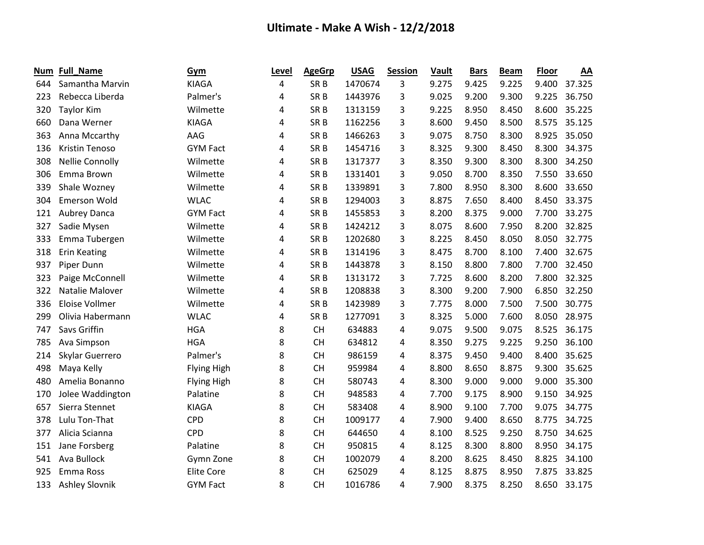| Num | <b>Full_Name</b>       | Gym                | Level | <b>AgeGrp</b>   | <b>USAG</b> | <b>Session</b> | Vault | <b>Bars</b> | <b>Beam</b> | <b>Floor</b> | AA     |
|-----|------------------------|--------------------|-------|-----------------|-------------|----------------|-------|-------------|-------------|--------------|--------|
| 644 | Samantha Marvin        | <b>KIAGA</b>       | 4     | SR <sub>B</sub> | 1470674     | 3              | 9.275 | 9.425       | 9.225       | 9.400        | 37.325 |
| 223 | Rebecca Liberda        | Palmer's           | 4     | SR <sub>B</sub> | 1443976     | 3              | 9.025 | 9.200       | 9.300       | 9.225        | 36.750 |
| 320 | <b>Taylor Kim</b>      | Wilmette           | 4     | SR <sub>B</sub> | 1313159     | 3              | 9.225 | 8.950       | 8.450       | 8.600        | 35.225 |
| 660 | Dana Werner            | <b>KIAGA</b>       | 4     | SR <sub>B</sub> | 1162256     | 3              | 8.600 | 9.450       | 8.500       | 8.575        | 35.125 |
| 363 | Anna Mccarthy          | AAG                | 4     | SR <sub>B</sub> | 1466263     | 3              | 9.075 | 8.750       | 8.300       | 8.925        | 35.050 |
| 136 | Kristin Tenoso         | <b>GYM Fact</b>    | 4     | SR <sub>B</sub> | 1454716     | 3              | 8.325 | 9.300       | 8.450       | 8.300        | 34.375 |
| 308 | <b>Nellie Connolly</b> | Wilmette           | 4     | SR <sub>B</sub> | 1317377     | 3              | 8.350 | 9.300       | 8.300       | 8.300        | 34.250 |
| 306 | Emma Brown             | Wilmette           | 4     | SR <sub>B</sub> | 1331401     | 3              | 9.050 | 8.700       | 8.350       | 7.550        | 33.650 |
| 339 | Shale Wozney           | Wilmette           | 4     | SR <sub>B</sub> | 1339891     | 3              | 7.800 | 8.950       | 8.300       | 8.600        | 33.650 |
| 304 | <b>Emerson Wold</b>    | <b>WLAC</b>        | 4     | SR <sub>B</sub> | 1294003     | 3              | 8.875 | 7.650       | 8.400       | 8.450        | 33.375 |
| 121 | Aubrey Danca           | <b>GYM Fact</b>    | 4     | SR <sub>B</sub> | 1455853     | 3              | 8.200 | 8.375       | 9.000       | 7.700        | 33.275 |
| 327 | Sadie Mysen            | Wilmette           | 4     | SR <sub>B</sub> | 1424212     | 3              | 8.075 | 8.600       | 7.950       | 8.200        | 32.825 |
| 333 | Emma Tubergen          | Wilmette           | 4     | SR <sub>B</sub> | 1202680     | 3              | 8.225 | 8.450       | 8.050       | 8.050        | 32.775 |
| 318 | <b>Erin Keating</b>    | Wilmette           | 4     | SR <sub>B</sub> | 1314196     | 3              | 8.475 | 8.700       | 8.100       | 7.400        | 32.675 |
| 937 | Piper Dunn             | Wilmette           | 4     | SR <sub>B</sub> | 1443878     | 3              | 8.150 | 8.800       | 7.800       | 7.700        | 32.450 |
| 323 | Paige McConnell        | Wilmette           | 4     | SR <sub>B</sub> | 1313172     | 3              | 7.725 | 8.600       | 8.200       | 7.800        | 32.325 |
| 322 | Natalie Malover        | Wilmette           | 4     | SR <sub>B</sub> | 1208838     | 3              | 8.300 | 9.200       | 7.900       | 6.850        | 32.250 |
| 336 | Eloise Vollmer         | Wilmette           | 4     | SR <sub>B</sub> | 1423989     | 3              | 7.775 | 8.000       | 7.500       | 7.500        | 30.775 |
| 299 | Olivia Habermann       | <b>WLAC</b>        | 4     | SR <sub>B</sub> | 1277091     | 3              | 8.325 | 5.000       | 7.600       | 8.050        | 28.975 |
| 747 | Savs Griffin           | <b>HGA</b>         | 8     | <b>CH</b>       | 634883      | 4              | 9.075 | 9.500       | 9.075       | 8.525        | 36.175 |
| 785 | Ava Simpson            | <b>HGA</b>         | 8     | <b>CH</b>       | 634812      | 4              | 8.350 | 9.275       | 9.225       | 9.250        | 36.100 |
| 214 | Skylar Guerrero        | Palmer's           | 8     | <b>CH</b>       | 986159      | 4              | 8.375 | 9.450       | 9.400       | 8.400        | 35.625 |
| 498 | Maya Kelly             | <b>Flying High</b> | 8     | <b>CH</b>       | 959984      | 4              | 8.800 | 8.650       | 8.875       | 9.300        | 35.625 |
| 480 | Amelia Bonanno         | <b>Flying High</b> | 8     | <b>CH</b>       | 580743      | 4              | 8.300 | 9.000       | 9.000       | 9.000        | 35.300 |
| 170 | Jolee Waddington       | Palatine           | 8     | <b>CH</b>       | 948583      | 4              | 7.700 | 9.175       | 8.900       | 9.150        | 34.925 |
| 657 | Sierra Stennet         | <b>KIAGA</b>       | 8     | <b>CH</b>       | 583408      | 4              | 8.900 | 9.100       | 7.700       | 9.075        | 34.775 |
| 378 | Lulu Ton-That          | <b>CPD</b>         | 8     | <b>CH</b>       | 1009177     | 4              | 7.900 | 9.400       | 8.650       | 8.775        | 34.725 |
| 377 | Alicia Scianna         | <b>CPD</b>         | 8     | <b>CH</b>       | 644650      | 4              | 8.100 | 8.525       | 9.250       | 8.750        | 34.625 |
| 151 | Jane Forsberg          | Palatine           | 8     | <b>CH</b>       | 950815      | 4              | 8.125 | 8.300       | 8.800       | 8.950        | 34.175 |
| 541 | Ava Bullock            | Gymn Zone          | 8     | <b>CH</b>       | 1002079     | 4              | 8.200 | 8.625       | 8.450       | 8.825        | 34.100 |
| 925 | Emma Ross              | <b>Elite Core</b>  | 8     | <b>CH</b>       | 625029      | 4              | 8.125 | 8.875       | 8.950       | 7.875        | 33.825 |
| 133 | <b>Ashley Slovnik</b>  | <b>GYM Fact</b>    | 8     | <b>CH</b>       | 1016786     | 4              | 7.900 | 8.375       | 8.250       | 8.650        | 33.175 |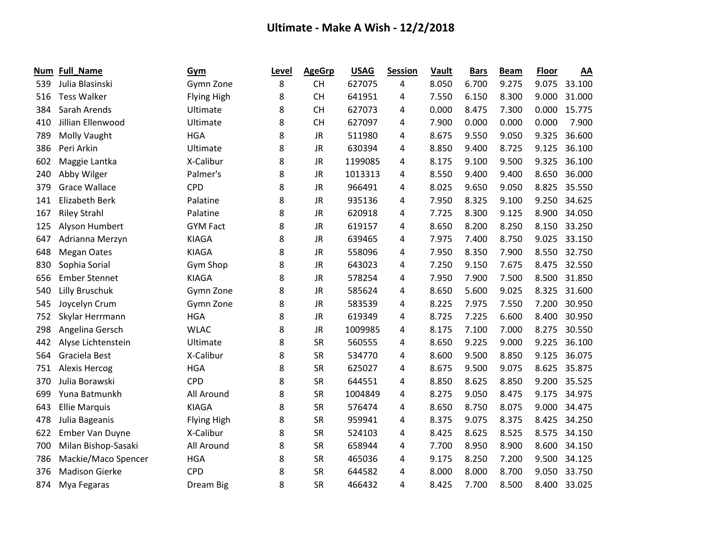| Num | <b>Full_Name</b>      | Gym                | Level | <b>AgeGrp</b> | <b>USAG</b> | <b>Session</b> | Vault | <b>Bars</b> | <b>Beam</b> | <b>Floor</b> | AA     |
|-----|-----------------------|--------------------|-------|---------------|-------------|----------------|-------|-------------|-------------|--------------|--------|
| 539 | Julia Blasinski       | Gymn Zone          | 8     | <b>CH</b>     | 627075      | 4              | 8.050 | 6.700       | 9.275       | 9.075        | 33.100 |
| 516 | <b>Tess Walker</b>    | <b>Flying High</b> | 8     | <b>CH</b>     | 641951      | 4              | 7.550 | 6.150       | 8.300       | 9.000        | 31.000 |
| 384 | Sarah Arends          | Ultimate           | 8     | <b>CH</b>     | 627073      | 4              | 0.000 | 8.475       | 7.300       | 0.000        | 15.775 |
| 410 | Jillian Ellenwood     | Ultimate           | 8     | <b>CH</b>     | 627097      | 4              | 7.900 | 0.000       | 0.000       | 0.000        | 7.900  |
| 789 | Molly Vaught          | <b>HGA</b>         | 8     | <b>JR</b>     | 511980      | 4              | 8.675 | 9.550       | 9.050       | 9.325        | 36.600 |
| 386 | Peri Arkin            | Ultimate           | 8     | <b>JR</b>     | 630394      | 4              | 8.850 | 9.400       | 8.725       | 9.125        | 36.100 |
| 602 | Maggie Lantka         | X-Calibur          | 8     | <b>JR</b>     | 1199085     | 4              | 8.175 | 9.100       | 9.500       | 9.325        | 36.100 |
| 240 | Abby Wilger           | Palmer's           | 8     | <b>JR</b>     | 1013313     | 4              | 8.550 | 9.400       | 9.400       | 8.650        | 36.000 |
| 379 | <b>Grace Wallace</b>  | <b>CPD</b>         | 8     | <b>JR</b>     | 966491      | 4              | 8.025 | 9.650       | 9.050       | 8.825        | 35.550 |
| 141 | <b>Elizabeth Berk</b> | Palatine           | 8     | <b>JR</b>     | 935136      | 4              | 7.950 | 8.325       | 9.100       | 9.250        | 34.625 |
| 167 | <b>Riley Strahl</b>   | Palatine           | 8     | <b>JR</b>     | 620918      | 4              | 7.725 | 8.300       | 9.125       | 8.900        | 34.050 |
| 125 | Alyson Humbert        | <b>GYM Fact</b>    | 8     | <b>JR</b>     | 619157      | 4              | 8.650 | 8.200       | 8.250       | 8.150        | 33.250 |
| 647 | Adrianna Merzyn       | <b>KIAGA</b>       | 8     | <b>JR</b>     | 639465      | 4              | 7.975 | 7.400       | 8.750       | 9.025        | 33.150 |
| 648 | <b>Megan Oates</b>    | <b>KIAGA</b>       | 8     | <b>JR</b>     | 558096      | 4              | 7.950 | 8.350       | 7.900       | 8.550        | 32.750 |
| 830 | Sophia Sorial         | Gym Shop           | 8     | <b>JR</b>     | 643023      | 4              | 7.250 | 9.150       | 7.675       | 8.475        | 32.550 |
| 656 | <b>Ember Stennet</b>  | <b>KIAGA</b>       | 8     | JR            | 578254      | 4              | 7.950 | 7.900       | 7.500       | 8.500        | 31.850 |
| 540 | <b>Lilly Bruschuk</b> | Gymn Zone          | 8     | <b>JR</b>     | 585624      | 4              | 8.650 | 5.600       | 9.025       | 8.325        | 31.600 |
| 545 | Joycelyn Crum         | Gymn Zone          | 8     | <b>JR</b>     | 583539      | 4              | 8.225 | 7.975       | 7.550       | 7.200        | 30.950 |
| 752 | Skylar Herrmann       | <b>HGA</b>         | 8     | <b>JR</b>     | 619349      | 4              | 8.725 | 7.225       | 6.600       | 8.400        | 30.950 |
| 298 | Angelina Gersch       | <b>WLAC</b>        | 8     | <b>JR</b>     | 1009985     | 4              | 8.175 | 7.100       | 7.000       | 8.275        | 30.550 |
| 442 | Alyse Lichtenstein    | Ultimate           | 8     | <b>SR</b>     | 560555      | 4              | 8.650 | 9.225       | 9.000       | 9.225        | 36.100 |
| 564 | Graciela Best         | X-Calibur          | 8     | <b>SR</b>     | 534770      | 4              | 8.600 | 9.500       | 8.850       | 9.125        | 36.075 |
| 751 | <b>Alexis Hercog</b>  | <b>HGA</b>         | 8     | <b>SR</b>     | 625027      | 4              | 8.675 | 9.500       | 9.075       | 8.625        | 35.875 |
| 370 | Julia Borawski        | <b>CPD</b>         | 8     | <b>SR</b>     | 644551      | 4              | 8.850 | 8.625       | 8.850       | 9.200        | 35.525 |
| 699 | Yuna Batmunkh         | All Around         | 8     | <b>SR</b>     | 1004849     | 4              | 8.275 | 9.050       | 8.475       | 9.175        | 34.975 |
| 643 | <b>Ellie Marquis</b>  | <b>KIAGA</b>       | 8     | <b>SR</b>     | 576474      | 4              | 8.650 | 8.750       | 8.075       | 9.000        | 34.475 |
| 478 | Julia Bageanis        | <b>Flying High</b> | 8     | <b>SR</b>     | 959941      | 4              | 8.375 | 9.075       | 8.375       | 8.425        | 34.250 |
| 622 | Ember Van Duyne       | X-Calibur          | 8     | <b>SR</b>     | 524103      | 4              | 8.425 | 8.625       | 8.525       | 8.575        | 34.150 |
| 700 | Milan Bishop-Sasaki   | All Around         | 8     | <b>SR</b>     | 658944      | 4              | 7.700 | 8.950       | 8.900       | 8.600        | 34.150 |
| 786 | Mackie/Maco Spencer   | <b>HGA</b>         | 8     | <b>SR</b>     | 465036      | 4              | 9.175 | 8.250       | 7.200       | 9.500        | 34.125 |
| 376 | <b>Madison Gierke</b> | <b>CPD</b>         | 8     | <b>SR</b>     | 644582      | 4              | 8.000 | 8.000       | 8.700       | 9.050        | 33.750 |
| 874 | Mya Fegaras           | Dream Big          | 8     | <b>SR</b>     | 466432      | 4              | 8.425 | 7.700       | 8.500       | 8.400        | 33.025 |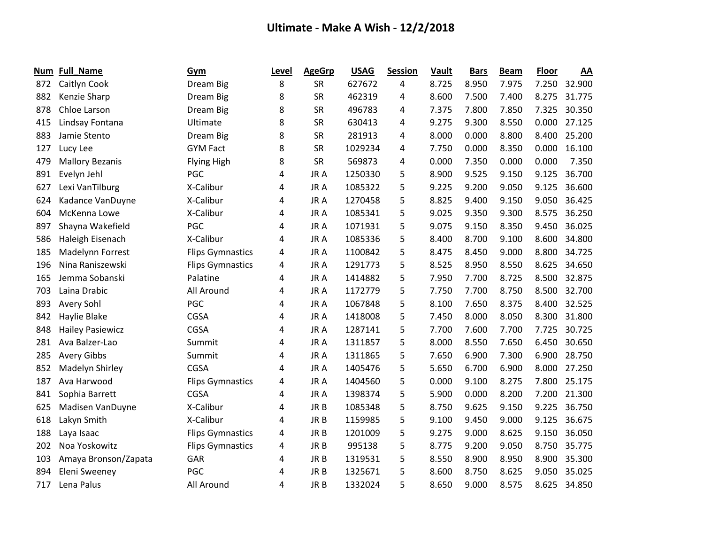| Num | <b>Full_Name</b>        | Gym                     | Level | <b>AgeGrp</b>   | <b>USAG</b> | <b>Session</b> | <b>Vault</b> | <b>Bars</b> | <b>Beam</b> | <b>Floor</b> | AA     |
|-----|-------------------------|-------------------------|-------|-----------------|-------------|----------------|--------------|-------------|-------------|--------------|--------|
| 872 | Caitlyn Cook            | Dream Big               | 8     | <b>SR</b>       | 627672      | 4              | 8.725        | 8.950       | 7.975       | 7.250        | 32.900 |
| 882 | Kenzie Sharp            | Dream Big               | 8     | <b>SR</b>       | 462319      | 4              | 8.600        | 7.500       | 7.400       | 8.275        | 31.775 |
| 878 | Chloe Larson            | Dream Big               | 8     | <b>SR</b>       | 496783      | 4              | 7.375        | 7.800       | 7.850       | 7.325        | 30.350 |
| 415 | Lindsay Fontana         | Ultimate                | 8     | <b>SR</b>       | 630413      | 4              | 9.275        | 9.300       | 8.550       | 0.000        | 27.125 |
| 883 | Jamie Stento            | Dream Big               | 8     | <b>SR</b>       | 281913      | 4              | 8.000        | 0.000       | 8.800       | 8.400        | 25.200 |
| 127 | Lucy Lee                | <b>GYM Fact</b>         | 8     | <b>SR</b>       | 1029234     | 4              | 7.750        | 0.000       | 8.350       | 0.000        | 16.100 |
| 479 | <b>Mallory Bezanis</b>  | <b>Flying High</b>      | 8     | <b>SR</b>       | 569873      | 4              | 0.000        | 7.350       | 0.000       | 0.000        | 7.350  |
| 891 | Evelyn Jehl             | PGC                     | 4     | JR A            | 1250330     | 5              | 8.900        | 9.525       | 9.150       | 9.125        | 36.700 |
| 627 | Lexi VanTilburg         | X-Calibur               | 4     | JR A            | 1085322     | 5              | 9.225        | 9.200       | 9.050       | 9.125        | 36.600 |
| 624 | Kadance VanDuyne        | X-Calibur               | 4     | JR A            | 1270458     | 5              | 8.825        | 9.400       | 9.150       | 9.050        | 36.425 |
| 604 | McKenna Lowe            | X-Calibur               | 4     | JR A            | 1085341     | 5              | 9.025        | 9.350       | 9.300       | 8.575        | 36.250 |
| 897 | Shayna Wakefield        | PGC                     | 4     | JR A            | 1071931     | 5              | 9.075        | 9.150       | 8.350       | 9.450        | 36.025 |
| 586 | Haleigh Eisenach        | X-Calibur               | 4     | JR A            | 1085336     | 5              | 8.400        | 8.700       | 9.100       | 8.600        | 34.800 |
| 185 | Madelynn Forrest        | <b>Flips Gymnastics</b> | 4     | JR A            | 1100842     | 5              | 8.475        | 8.450       | 9.000       | 8.800        | 34.725 |
| 196 | Nina Raniszewski        | <b>Flips Gymnastics</b> | 4     | JR A            | 1291773     | 5              | 8.525        | 8.950       | 8.550       | 8.625        | 34.650 |
| 165 | Jemma Sobanski          | Palatine                | 4     | JR A            | 1414882     | 5              | 7.950        | 7.700       | 8.725       | 8.500        | 32.875 |
| 703 | Laina Drabic            | All Around              | 4     | JR A            | 1172779     | 5              | 7.750        | 7.700       | 8.750       | 8.500        | 32.700 |
| 893 | Avery Sohl              | PGC                     | 4     | JR A            | 1067848     | 5              | 8.100        | 7.650       | 8.375       | 8.400        | 32.525 |
| 842 | Haylie Blake            | CGSA                    | 4     | JR A            | 1418008     | 5              | 7.450        | 8.000       | 8.050       | 8.300        | 31.800 |
| 848 | <b>Hailey Pasiewicz</b> | CGSA                    | 4     | JR A            | 1287141     | 5              | 7.700        | 7.600       | 7.700       | 7.725        | 30.725 |
| 281 | Ava Balzer-Lao          | Summit                  | 4     | JR A            | 1311857     | 5              | 8.000        | 8.550       | 7.650       | 6.450        | 30.650 |
| 285 | <b>Avery Gibbs</b>      | Summit                  | 4     | JR A            | 1311865     | 5              | 7.650        | 6.900       | 7.300       | 6.900        | 28.750 |
| 852 | Madelyn Shirley         | <b>CGSA</b>             | 4     | JR A            | 1405476     | 5              | 5.650        | 6.700       | 6.900       | 8.000        | 27.250 |
| 187 | Ava Harwood             | <b>Flips Gymnastics</b> | 4     | JR A            | 1404560     | 5              | 0.000        | 9.100       | 8.275       | 7.800        | 25.175 |
| 841 | Sophia Barrett          | CGSA                    | 4     | JR A            | 1398374     | 5              | 5.900        | 0.000       | 8.200       | 7.200        | 21.300 |
| 625 | Madisen VanDuyne        | X-Calibur               | 4     | JR B            | 1085348     | 5              | 8.750        | 9.625       | 9.150       | 9.225        | 36.750 |
| 618 | Lakyn Smith             | X-Calibur               | 4     | JR <sub>B</sub> | 1159985     | 5              | 9.100        | 9.450       | 9.000       | 9.125        | 36.675 |
| 188 | Laya Isaac              | <b>Flips Gymnastics</b> | 4     | JR B            | 1201009     | 5              | 9.275        | 9.000       | 8.625       | 9.150        | 36.050 |
| 202 | Noa Yoskowitz           | <b>Flips Gymnastics</b> | 4     | JR B            | 995138      | 5              | 8.775        | 9.200       | 9.050       | 8.750        | 35.775 |
| 103 | Amaya Bronson/Zapata    | GAR                     | 4     | JR B            | 1319531     | 5              | 8.550        | 8.900       | 8.950       | 8.900        | 35.300 |
| 894 | Eleni Sweeney           | PGC                     | 4     | JR B            | 1325671     | 5              | 8.600        | 8.750       | 8.625       | 9.050        | 35.025 |
| 717 | Lena Palus              | All Around              | 4     | JR <sub>B</sub> | 1332024     | 5              | 8.650        | 9.000       | 8.575       | 8.625        | 34.850 |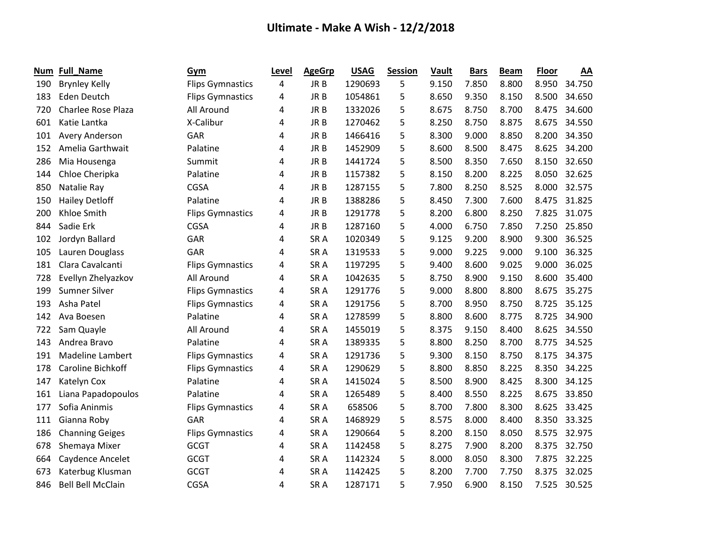| Num | <b>Full_Name</b>          | Gym                     | Level | <b>AgeGrp</b>   | <b>USAG</b> | <b>Session</b> | Vault | <b>Bars</b> | <b>Beam</b> | <b>Floor</b> | AA     |
|-----|---------------------------|-------------------------|-------|-----------------|-------------|----------------|-------|-------------|-------------|--------------|--------|
| 190 | <b>Brynley Kelly</b>      | <b>Flips Gymnastics</b> | 4     | JR B            | 1290693     | 5              | 9.150 | 7.850       | 8.800       | 8.950        | 34.750 |
| 183 | Eden Deutch               | <b>Flips Gymnastics</b> | 4     | JR B            | 1054861     | 5              | 8.650 | 9.350       | 8.150       | 8.500        | 34.650 |
| 720 | <b>Charlee Rose Plaza</b> | All Around              | 4     | JR <sub>B</sub> | 1332026     | 5              | 8.675 | 8.750       | 8.700       | 8.475        | 34.600 |
| 601 | Katie Lantka              | X-Calibur               | 4     | JR B            | 1270462     | 5              | 8.250 | 8.750       | 8.875       | 8.675        | 34.550 |
| 101 | <b>Avery Anderson</b>     | GAR                     | 4     | JR <sub>B</sub> | 1466416     | 5              | 8.300 | 9.000       | 8.850       | 8.200        | 34.350 |
| 152 | Amelia Garthwait          | Palatine                | 4     | JR B            | 1452909     | 5              | 8.600 | 8.500       | 8.475       | 8.625        | 34.200 |
| 286 | Mia Housenga              | Summit                  | 4     | JR B            | 1441724     | 5              | 8.500 | 8.350       | 7.650       | 8.150        | 32.650 |
| 144 | Chloe Cheripka            | Palatine                | 4     | JR B            | 1157382     | 5              | 8.150 | 8.200       | 8.225       | 8.050        | 32.625 |
| 850 | Natalie Ray               | <b>CGSA</b>             | 4     | JR B            | 1287155     | 5              | 7.800 | 8.250       | 8.525       | 8.000        | 32.575 |
| 150 | <b>Hailey Detloff</b>     | Palatine                | 4     | JR B            | 1388286     | 5              | 8.450 | 7.300       | 7.600       | 8.475        | 31.825 |
| 200 | Khloe Smith               | <b>Flips Gymnastics</b> | 4     | JR B            | 1291778     | 5              | 8.200 | 6.800       | 8.250       | 7.825        | 31.075 |
| 844 | Sadie Erk                 | <b>CGSA</b>             | 4     | JR B            | 1287160     | 5              | 4.000 | 6.750       | 7.850       | 7.250        | 25.850 |
| 102 | Jordyn Ballard            | GAR                     | 4     | SR <sub>A</sub> | 1020349     | 5              | 9.125 | 9.200       | 8.900       | 9.300        | 36.525 |
| 105 | Lauren Douglass           | GAR                     | 4     | SR <sub>A</sub> | 1319533     | 5              | 9.000 | 9.225       | 9.000       | 9.100        | 36.325 |
| 181 | Clara Cavalcanti          | <b>Flips Gymnastics</b> | 4     | SR <sub>A</sub> | 1197295     | 5              | 9.400 | 8.600       | 9.025       | 9.000        | 36.025 |
| 728 | Evellyn Zhelyazkov        | All Around              | 4     | SR <sub>A</sub> | 1042635     | 5              | 8.750 | 8.900       | 9.150       | 8.600        | 35.400 |
| 199 | Sumner Silver             | <b>Flips Gymnastics</b> | 4     | SR <sub>A</sub> | 1291776     | 5              | 9.000 | 8.800       | 8.800       | 8.675        | 35.275 |
| 193 | Asha Patel                | <b>Flips Gymnastics</b> | 4     | SR <sub>A</sub> | 1291756     | 5              | 8.700 | 8.950       | 8.750       | 8.725        | 35.125 |
| 142 | Ava Boesen                | Palatine                | 4     | SR <sub>A</sub> | 1278599     | 5              | 8.800 | 8.600       | 8.775       | 8.725        | 34.900 |
| 722 | Sam Quayle                | All Around              | 4     | SR <sub>A</sub> | 1455019     | 5              | 8.375 | 9.150       | 8.400       | 8.625        | 34.550 |
| 143 | Andrea Bravo              | Palatine                | 4     | SR <sub>A</sub> | 1389335     | 5              | 8.800 | 8.250       | 8.700       | 8.775        | 34.525 |
| 191 | Madeline Lambert          | <b>Flips Gymnastics</b> | 4     | SR <sub>A</sub> | 1291736     | 5              | 9.300 | 8.150       | 8.750       | 8.175        | 34.375 |
| 178 | Caroline Bichkoff         | <b>Flips Gymnastics</b> | 4     | SR A            | 1290629     | 5              | 8.800 | 8.850       | 8.225       | 8.350        | 34.225 |
| 147 | Katelyn Cox               | Palatine                | 4     | SR <sub>A</sub> | 1415024     | 5              | 8.500 | 8.900       | 8.425       | 8.300        | 34.125 |
| 161 | Liana Papadopoulos        | Palatine                | 4     | SR <sub>A</sub> | 1265489     | 5              | 8.400 | 8.550       | 8.225       | 8.675        | 33.850 |
| 177 | Sofia Aninmis             | <b>Flips Gymnastics</b> | 4     | SR <sub>A</sub> | 658506      | 5              | 8.700 | 7.800       | 8.300       | 8.625        | 33.425 |
| 111 | Gianna Roby               | GAR                     | 4     | SR <sub>A</sub> | 1468929     | 5              | 8.575 | 8.000       | 8.400       | 8.350        | 33.325 |
| 186 | <b>Channing Geiges</b>    | <b>Flips Gymnastics</b> | 4     | SR <sub>A</sub> | 1290664     | 5              | 8.200 | 8.150       | 8.050       | 8.575        | 32.975 |
| 678 | Shemaya Mixer             | <b>GCGT</b>             | 4     | SR <sub>A</sub> | 1142458     | 5              | 8.275 | 7.900       | 8.200       | 8.375        | 32.750 |
| 664 | Caydence Ancelet          | <b>GCGT</b>             | 4     | SR <sub>A</sub> | 1142324     | 5              | 8.000 | 8.050       | 8.300       | 7.875        | 32.225 |
| 673 | Katerbug Klusman          | <b>GCGT</b>             | 4     | SR <sub>A</sub> | 1142425     | 5              | 8.200 | 7.700       | 7.750       | 8.375        | 32.025 |
| 846 | <b>Bell Bell McClain</b>  | <b>CGSA</b>             | 4     | SR <sub>A</sub> | 1287171     | 5              | 7.950 | 6.900       | 8.150       | 7.525        | 30.525 |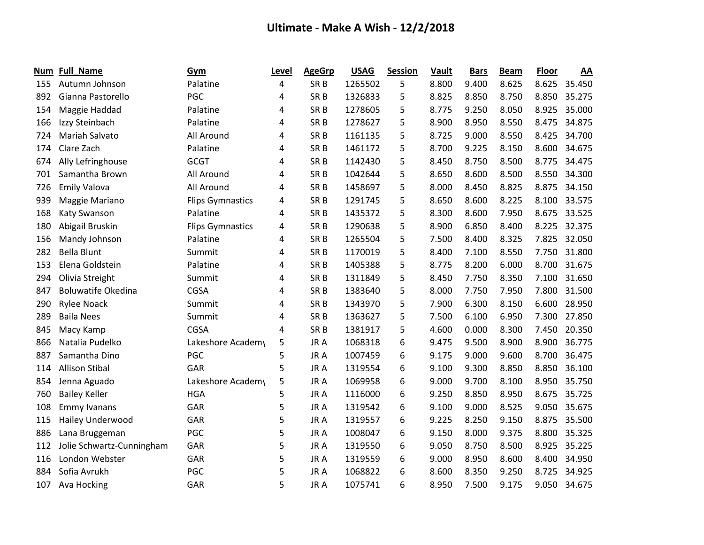| Num | Full_Name                 | Gym                     | Level | <b>AgeGrp</b>   | <b>USAG</b> | <b>Session</b> | Vault | <b>Bars</b> | <b>Beam</b> | <b>Floor</b> | AA     |
|-----|---------------------------|-------------------------|-------|-----------------|-------------|----------------|-------|-------------|-------------|--------------|--------|
| 155 | Autumn Johnson            | Palatine                | 4     | SR <sub>B</sub> | 1265502     | 5              | 8.800 | 9.400       | 8.625       | 8.625        | 35.450 |
| 892 | Gianna Pastorello         | PGC                     | 4     | SR <sub>B</sub> | 1326833     | 5              | 8.825 | 8.850       | 8.750       | 8.850        | 35.275 |
| 154 | Maggie Haddad             | Palatine                | 4     | SR <sub>B</sub> | 1278605     | 5              | 8.775 | 9.250       | 8.050       | 8.925        | 35.000 |
| 166 | Izzy Steinbach            | Palatine                | 4     | SR <sub>B</sub> | 1278627     | 5              | 8.900 | 8.950       | 8.550       | 8.475        | 34.875 |
| 724 | Mariah Salvato            | All Around              | 4     | SR <sub>B</sub> | 1161135     | 5              | 8.725 | 9.000       | 8.550       | 8.425        | 34.700 |
| 174 | Clare Zach                | Palatine                | 4     | SR <sub>B</sub> | 1461172     | 5              | 8.700 | 9.225       | 8.150       | 8.600        | 34.675 |
| 674 | Ally Lefringhouse         | <b>GCGT</b>             | 4     | SR <sub>B</sub> | 1142430     | 5              | 8.450 | 8.750       | 8.500       | 8.775        | 34.475 |
| 701 | Samantha Brown            | All Around              | 4     | SR <sub>B</sub> | 1042644     | 5              | 8.650 | 8.600       | 8.500       | 8.550        | 34.300 |
| 726 | <b>Emily Valova</b>       | All Around              | 4     | SR <sub>B</sub> | 1458697     | 5              | 8.000 | 8.450       | 8.825       | 8.875        | 34.150 |
| 939 | Maggie Mariano            | <b>Flips Gymnastics</b> | 4     | SR <sub>B</sub> | 1291745     | 5              | 8.650 | 8.600       | 8.225       | 8.100        | 33.575 |
| 168 | Katy Swanson              | Palatine                | 4     | SR <sub>B</sub> | 1435372     | 5              | 8.300 | 8.600       | 7.950       | 8.675        | 33.525 |
| 180 | Abigail Bruskin           | <b>Flips Gymnastics</b> | 4     | SR <sub>B</sub> | 1290638     | 5              | 8.900 | 6.850       | 8.400       | 8.225        | 32.375 |
| 156 | Mandy Johnson             | Palatine                | 4     | SR <sub>B</sub> | 1265504     | 5              | 7.500 | 8.400       | 8.325       | 7.825        | 32.050 |
| 282 | <b>Bella Blunt</b>        | Summit                  | 4     | SR <sub>B</sub> | 1170019     | 5              | 8.400 | 7.100       | 8.550       | 7.750        | 31.800 |
| 153 | Elena Goldstein           | Palatine                | 4     | SR <sub>B</sub> | 1405388     | 5              | 8.775 | 8.200       | 6.000       | 8.700        | 31.675 |
| 294 | Olivia Streight           | Summit                  | 4     | SR <sub>B</sub> | 1311849     | 5              | 8.450 | 7.750       | 8.350       | 7.100        | 31.650 |
| 847 | <b>Boluwatife Okedina</b> | CGSA                    | 4     | SR <sub>B</sub> | 1383640     | 5              | 8.000 | 7.750       | 7.950       | 7.800        | 31.500 |
| 290 | <b>Rylee Noack</b>        | Summit                  | 4     | SR <sub>B</sub> | 1343970     | 5              | 7.900 | 6.300       | 8.150       | 6.600        | 28.950 |
| 289 | <b>Baila Nees</b>         | Summit                  | 4     | SR <sub>B</sub> | 1363627     | 5              | 7.500 | 6.100       | 6.950       | 7.300        | 27.850 |
| 845 | Macy Kamp                 | <b>CGSA</b>             | 4     | SR <sub>B</sub> | 1381917     | 5              | 4.600 | 0.000       | 8.300       | 7.450        | 20.350 |
| 866 | Natalia Pudelko           | Lakeshore Academy       | 5     | JR A            | 1068318     | 6              | 9.475 | 9.500       | 8.900       | 8.900        | 36.775 |
| 887 | Samantha Dino             | PGC                     | 5     | JR A            | 1007459     | 6              | 9.175 | 9.000       | 9.600       | 8.700        | 36.475 |
| 114 | <b>Allison Stibal</b>     | GAR                     | 5     | JR A            | 1319554     | 6              | 9.100 | 9.300       | 8.850       | 8.850        | 36.100 |
| 854 | Jenna Aguado              | Lakeshore Academy       | 5     | JR A            | 1069958     | 6              | 9.000 | 9.700       | 8.100       | 8.950        | 35.750 |
| 760 | <b>Bailey Keller</b>      | <b>HGA</b>              | 5     | JR A            | 1116000     | 6              | 9.250 | 8.850       | 8.950       | 8.675        | 35.725 |
| 108 | <b>Emmy Ivanans</b>       | GAR                     | 5     | JR A            | 1319542     | 6              | 9.100 | 9.000       | 8.525       | 9.050        | 35.675 |
| 115 | <b>Hailey Underwood</b>   | GAR                     | 5     | JR A            | 1319557     | 6              | 9.225 | 8.250       | 9.150       | 8.875        | 35.500 |
| 886 | Lana Bruggeman            | PGC                     | 5     | JR A            | 1008047     | 6              | 9.150 | 8.000       | 9.375       | 8.800        | 35.325 |
| 112 | Jolie Schwartz-Cunningham | GAR                     | 5     | JR A            | 1319550     | 6              | 9.050 | 8.750       | 8.500       | 8.925        | 35.225 |
| 116 | London Webster            | GAR                     | 5     | JR A            | 1319559     | 6              | 9.000 | 8.950       | 8.600       | 8.400        | 34.950 |
| 884 | Sofia Avrukh              | PGC                     | 5     | JR A            | 1068822     | 6              | 8.600 | 8.350       | 9.250       | 8.725        | 34.925 |
| 107 | Ava Hocking               | GAR                     | 5     | JR A            | 1075741     | 6              | 8.950 | 7.500       | 9.175       | 9.050        | 34.675 |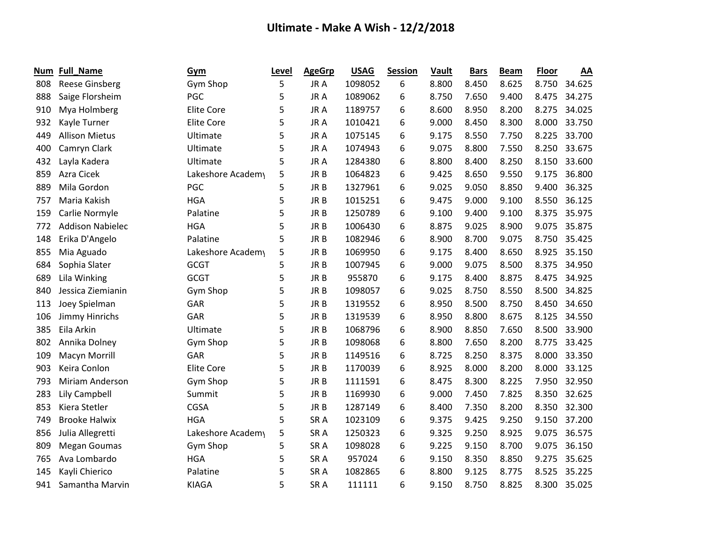| Num | <b>Full_Name</b>        | Gym               | Level | <b>AgeGrp</b>   | <b>USAG</b> | <b>Session</b> | <b>Vault</b> | <b>Bars</b> | <b>Beam</b> | <b>Floor</b> | AA     |
|-----|-------------------------|-------------------|-------|-----------------|-------------|----------------|--------------|-------------|-------------|--------------|--------|
| 808 | <b>Reese Ginsberg</b>   | Gym Shop          | 5     | JR A            | 1098052     | 6              | 8.800        | 8.450       | 8.625       | 8.750        | 34.625 |
| 888 | Saige Florsheim         | PGC               | 5     | JR A            | 1089062     | 6              | 8.750        | 7.650       | 9.400       | 8.475        | 34.275 |
| 910 | Mya Holmberg            | <b>Elite Core</b> | 5     | JR A            | 1189757     | 6              | 8.600        | 8.950       | 8.200       | 8.275        | 34.025 |
| 932 | Kayle Turner            | Elite Core        | 5     | JR A            | 1010421     | 6              | 9.000        | 8.450       | 8.300       | 8.000        | 33.750 |
| 449 | <b>Allison Mietus</b>   | Ultimate          | 5     | JR A            | 1075145     | 6              | 9.175        | 8.550       | 7.750       | 8.225        | 33.700 |
| 400 | Camryn Clark            | Ultimate          | 5     | JR A            | 1074943     | 6              | 9.075        | 8.800       | 7.550       | 8.250        | 33.675 |
| 432 | Layla Kadera            | Ultimate          | 5     | JR A            | 1284380     | 6              | 8.800        | 8.400       | 8.250       | 8.150        | 33.600 |
| 859 | Azra Cicek              | Lakeshore Academy | 5     | JR B            | 1064823     | 6              | 9.425        | 8.650       | 9.550       | 9.175        | 36.800 |
| 889 | Mila Gordon             | PGC               | 5     | JR <sub>B</sub> | 1327961     | 6              | 9.025        | 9.050       | 8.850       | 9.400        | 36.325 |
| 757 | Maria Kakish            | <b>HGA</b>        | 5     | JR <sub>B</sub> | 1015251     | 6              | 9.475        | 9.000       | 9.100       | 8.550        | 36.125 |
| 159 | Carlie Normyle          | Palatine          | 5     | JR B            | 1250789     | 6              | 9.100        | 9.400       | 9.100       | 8.375        | 35.975 |
| 772 | <b>Addison Nabielec</b> | <b>HGA</b>        | 5     | JR <sub>B</sub> | 1006430     | 6              | 8.875        | 9.025       | 8.900       | 9.075        | 35.875 |
| 148 | Erika D'Angelo          | Palatine          | 5     | JR B            | 1082946     | 6              | 8.900        | 8.700       | 9.075       | 8.750        | 35.425 |
| 855 | Mia Aguado              | Lakeshore Academy | 5     | JR <sub>B</sub> | 1069950     | 6              | 9.175        | 8.400       | 8.650       | 8.925        | 35.150 |
| 684 | Sophia Slater           | <b>GCGT</b>       | 5     | JR <sub>B</sub> | 1007945     | 6              | 9.000        | 9.075       | 8.500       | 8.375        | 34.950 |
| 689 | Lila Winking            | <b>GCGT</b>       | 5     | JR B            | 955870      | 6              | 9.175        | 8.400       | 8.875       | 8.475        | 34.925 |
| 840 | Jessica Ziemianin       | Gym Shop          | 5     | JR B            | 1098057     | 6              | 9.025        | 8.750       | 8.550       | 8.500        | 34.825 |
| 113 | Joey Spielman           | GAR               | 5     | JR <sub>B</sub> | 1319552     | 6              | 8.950        | 8.500       | 8.750       | 8.450        | 34.650 |
| 106 | Jimmy Hinrichs          | GAR               | 5     | JR B            | 1319539     | 6              | 8.950        | 8.800       | 8.675       | 8.125        | 34.550 |
| 385 | Eila Arkin              | Ultimate          | 5     | JR <sub>B</sub> | 1068796     | 6              | 8.900        | 8.850       | 7.650       | 8.500        | 33.900 |
| 802 | Annika Dolney           | Gym Shop          | 5     | JR <sub>B</sub> | 1098068     | 6              | 8.800        | 7.650       | 8.200       | 8.775        | 33.425 |
| 109 | Macyn Morrill           | GAR               | 5     | JR <sub>B</sub> | 1149516     | 6              | 8.725        | 8.250       | 8.375       | 8.000        | 33.350 |
| 903 | Keira Conlon            | <b>Elite Core</b> | 5     | JR <sub>B</sub> | 1170039     | 6              | 8.925        | 8.000       | 8.200       | 8.000        | 33.125 |
| 793 | Miriam Anderson         | Gym Shop          | 5     | JR <sub>B</sub> | 1111591     | 6              | 8.475        | 8.300       | 8.225       | 7.950        | 32.950 |
| 283 | Lily Campbell           | Summit            | 5     | JR <sub>B</sub> | 1169930     | 6              | 9.000        | 7.450       | 7.825       | 8.350        | 32.625 |
| 853 | Kiera Stetler           | CGSA              | 5     | JR B            | 1287149     | 6              | 8.400        | 7.350       | 8.200       | 8.350        | 32.300 |
| 749 | <b>Brooke Halwix</b>    | <b>HGA</b>        | 5     | SR <sub>A</sub> | 1023109     | 6              | 9.375        | 9.425       | 9.250       | 9.150        | 37.200 |
| 856 | Julia Allegretti        | Lakeshore Academy | 5     | SR <sub>A</sub> | 1250323     | 6              | 9.325        | 9.250       | 8.925       | 9.075        | 36.575 |
| 809 | <b>Megan Goumas</b>     | Gym Shop          | 5     | SR <sub>A</sub> | 1098028     | 6              | 9.225        | 9.150       | 8.700       | 9.075        | 36.150 |
| 765 | Ava Lombardo            | <b>HGA</b>        | 5     | SR <sub>A</sub> | 957024      | 6              | 9.150        | 8.350       | 8.850       | 9.275        | 35.625 |
| 145 | Kayli Chierico          | Palatine          | 5     | SR <sub>A</sub> | 1082865     | 6              | 8.800        | 9.125       | 8.775       | 8.525        | 35.225 |
| 941 | Samantha Marvin         | <b>KIAGA</b>      | 5     | SR <sub>A</sub> | 111111      | 6              | 9.150        | 8.750       | 8.825       | 8.300        | 35.025 |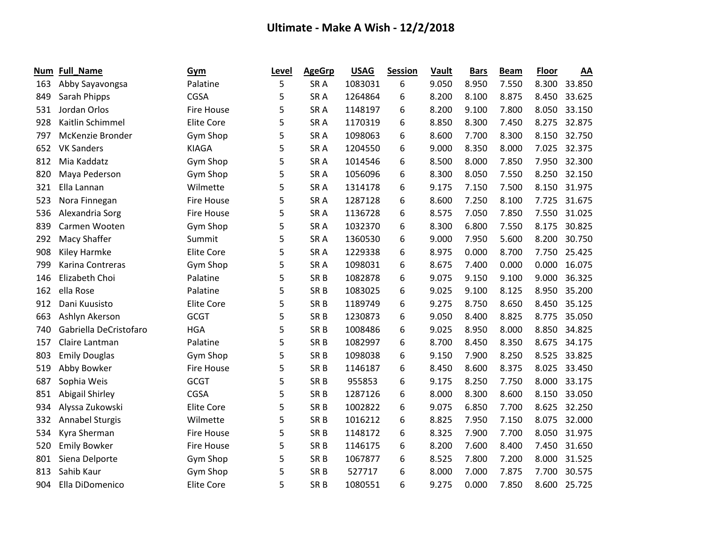| Num | <b>Full_Name</b>       | Gym               | Level | <b>AgeGrp</b>   | <b>USAG</b> | <b>Session</b> | <b>Vault</b> | <b>Bars</b> | <b>Beam</b> | <b>Floor</b> | AA     |
|-----|------------------------|-------------------|-------|-----------------|-------------|----------------|--------------|-------------|-------------|--------------|--------|
| 163 | Abby Sayavongsa        | Palatine          | 5     | SR <sub>A</sub> | 1083031     | 6              | 9.050        | 8.950       | 7.550       | 8.300        | 33.850 |
| 849 | Sarah Phipps           | CGSA              | 5     | SR <sub>A</sub> | 1264864     | 6              | 8.200        | 8.100       | 8.875       | 8.450        | 33.625 |
| 531 | Jordan Orlos           | <b>Fire House</b> | 5     | SR <sub>A</sub> | 1148197     | 6              | 8.200        | 9.100       | 7.800       | 8.050        | 33.150 |
| 928 | Kaitlin Schimmel       | <b>Elite Core</b> | 5     | SR <sub>A</sub> | 1170319     | 6              | 8.850        | 8.300       | 7.450       | 8.275        | 32.875 |
| 797 | McKenzie Bronder       | Gym Shop          | 5     | SR <sub>A</sub> | 1098063     | 6              | 8.600        | 7.700       | 8.300       | 8.150        | 32.750 |
| 652 | <b>VK Sanders</b>      | <b>KIAGA</b>      | 5     | SR <sub>A</sub> | 1204550     | 6              | 9.000        | 8.350       | 8.000       | 7.025        | 32.375 |
| 812 | Mia Kaddatz            | Gym Shop          | 5     | SR <sub>A</sub> | 1014546     | 6              | 8.500        | 8.000       | 7.850       | 7.950        | 32.300 |
| 820 | Maya Pederson          | Gym Shop          | 5     | SR <sub>A</sub> | 1056096     | 6              | 8.300        | 8.050       | 7.550       | 8.250        | 32.150 |
| 321 | Ella Lannan            | Wilmette          | 5     | SR <sub>A</sub> | 1314178     | 6              | 9.175        | 7.150       | 7.500       | 8.150        | 31.975 |
| 523 | Nora Finnegan          | <b>Fire House</b> | 5     | SR <sub>A</sub> | 1287128     | 6              | 8.600        | 7.250       | 8.100       | 7.725        | 31.675 |
| 536 | Alexandria Sorg        | <b>Fire House</b> | 5     | SR <sub>A</sub> | 1136728     | 6              | 8.575        | 7.050       | 7.850       | 7.550        | 31.025 |
| 839 | Carmen Wooten          | Gym Shop          | 5     | SR <sub>A</sub> | 1032370     | 6              | 8.300        | 6.800       | 7.550       | 8.175        | 30.825 |
| 292 | Macy Shaffer           | Summit            | 5     | SR <sub>A</sub> | 1360530     | 6              | 9.000        | 7.950       | 5.600       | 8.200        | 30.750 |
| 908 | Kiley Harmke           | <b>Elite Core</b> | 5     | SR <sub>A</sub> | 1229338     | 6              | 8.975        | 0.000       | 8.700       | 7.750        | 25.425 |
| 799 | Karina Contreras       | Gym Shop          | 5     | SR <sub>A</sub> | 1098031     | 6              | 8.675        | 7.400       | 0.000       | 0.000        | 16.075 |
| 146 | Elizabeth Choi         | Palatine          | 5     | SR <sub>B</sub> | 1082878     | 6              | 9.075        | 9.150       | 9.100       | 9.000        | 36.325 |
| 162 | ella Rose              | Palatine          | 5     | SR <sub>B</sub> | 1083025     | 6              | 9.025        | 9.100       | 8.125       | 8.950        | 35.200 |
| 912 | Dani Kuusisto          | <b>Elite Core</b> | 5     | SR <sub>B</sub> | 1189749     | 6              | 9.275        | 8.750       | 8.650       | 8.450        | 35.125 |
| 663 | Ashlyn Akerson         | <b>GCGT</b>       | 5     | SR <sub>B</sub> | 1230873     | 6              | 9.050        | 8.400       | 8.825       | 8.775        | 35.050 |
| 740 | Gabriella DeCristofaro | <b>HGA</b>        | 5     | SR <sub>B</sub> | 1008486     | 6              | 9.025        | 8.950       | 8.000       | 8.850        | 34.825 |
| 157 | Claire Lantman         | Palatine          | 5     | SR <sub>B</sub> | 1082997     | 6              | 8.700        | 8.450       | 8.350       | 8.675        | 34.175 |
| 803 | <b>Emily Douglas</b>   | Gym Shop          | 5     | SR <sub>B</sub> | 1098038     | 6              | 9.150        | 7.900       | 8.250       | 8.525        | 33.825 |
| 519 | Abby Bowker            | <b>Fire House</b> | 5     | SR <sub>B</sub> | 1146187     | 6              | 8.450        | 8.600       | 8.375       | 8.025        | 33.450 |
| 687 | Sophia Weis            | <b>GCGT</b>       | 5     | SR <sub>B</sub> | 955853      | 6              | 9.175        | 8.250       | 7.750       | 8.000        | 33.175 |
| 851 | Abigail Shirley        | CGSA              | 5     | SR <sub>B</sub> | 1287126     | 6              | 8.000        | 8.300       | 8.600       | 8.150        | 33.050 |
| 934 | Alyssa Zukowski        | <b>Elite Core</b> | 5     | SR <sub>B</sub> | 1002822     | 6              | 9.075        | 6.850       | 7.700       | 8.625        | 32.250 |
| 332 | Annabel Sturgis        | Wilmette          | 5     | SR <sub>B</sub> | 1016212     | 6              | 8.825        | 7.950       | 7.150       | 8.075        | 32.000 |
| 534 | Kyra Sherman           | <b>Fire House</b> | 5     | SR <sub>B</sub> | 1148172     | 6              | 8.325        | 7.900       | 7.700       | 8.050        | 31.975 |
| 520 | <b>Emily Bowker</b>    | <b>Fire House</b> | 5     | SR <sub>B</sub> | 1146175     | 6              | 8.200        | 7.600       | 8.400       | 7.450        | 31.650 |
| 801 | Siena Delporte         | Gym Shop          | 5     | SR <sub>B</sub> | 1067877     | 6              | 8.525        | 7.800       | 7.200       | 8.000        | 31.525 |
| 813 | Sahib Kaur             | Gym Shop          | 5     | SR <sub>B</sub> | 527717      | 6              | 8.000        | 7.000       | 7.875       | 7.700        | 30.575 |
| 904 | Ella DiDomenico        | <b>Elite Core</b> | 5     | SR <sub>B</sub> | 1080551     | 6              | 9.275        | 0.000       | 7.850       | 8.600        | 25.725 |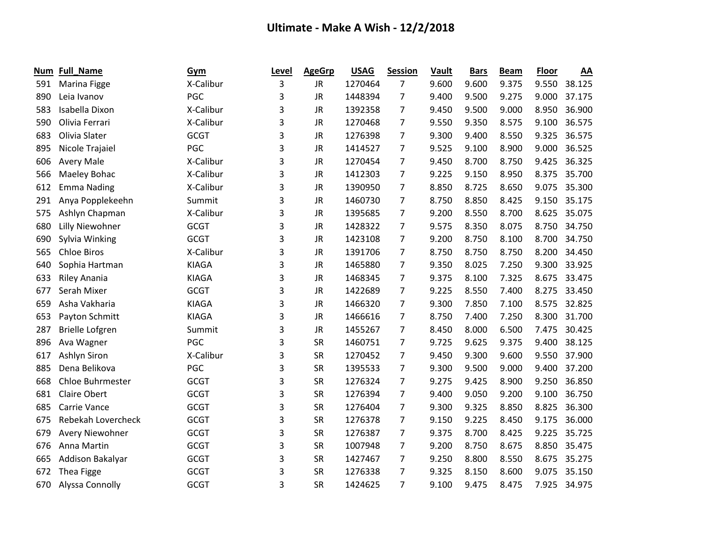| Num | <b>Full_Name</b>       | Gym          | Level | <b>AgeGrp</b> | <b>USAG</b> | <b>Session</b> | Vault | <b>Bars</b> | <b>Beam</b> | <b>Floor</b> | AA     |
|-----|------------------------|--------------|-------|---------------|-------------|----------------|-------|-------------|-------------|--------------|--------|
| 591 | Marina Figge           | X-Calibur    | 3     | <b>JR</b>     | 1270464     | $\overline{7}$ | 9.600 | 9.600       | 9.375       | 9.550        | 38.125 |
| 890 | Leia Ivanov            | PGC          | 3     | <b>JR</b>     | 1448394     | 7              | 9.400 | 9.500       | 9.275       | 9.000        | 37.175 |
| 583 | Isabella Dixon         | X-Calibur    | 3     | <b>JR</b>     | 1392358     | 7              | 9.450 | 9.500       | 9.000       | 8.950        | 36.900 |
| 590 | Olivia Ferrari         | X-Calibur    | 3     | <b>JR</b>     | 1270468     | 7              | 9.550 | 9.350       | 8.575       | 9.100        | 36.575 |
| 683 | Olivia Slater          | <b>GCGT</b>  | 3     | JR            | 1276398     | 7              | 9.300 | 9.400       | 8.550       | 9.325        | 36.575 |
| 895 | Nicole Trajaiel        | PGC          | 3     | <b>JR</b>     | 1414527     | 7              | 9.525 | 9.100       | 8.900       | 9.000        | 36.525 |
| 606 | <b>Avery Male</b>      | X-Calibur    | 3     | <b>JR</b>     | 1270454     | $\overline{7}$ | 9.450 | 8.700       | 8.750       | 9.425        | 36.325 |
| 566 | Maeley Bohac           | X-Calibur    | 3     | <b>JR</b>     | 1412303     | 7              | 9.225 | 9.150       | 8.950       | 8.375        | 35.700 |
| 612 | <b>Emma Nading</b>     | X-Calibur    | 3     | <b>JR</b>     | 1390950     | 7              | 8.850 | 8.725       | 8.650       | 9.075        | 35.300 |
| 291 | Anya Popplekeehn       | Summit       | 3     | <b>JR</b>     | 1460730     | 7              | 8.750 | 8.850       | 8.425       | 9.150        | 35.175 |
| 575 | Ashlyn Chapman         | X-Calibur    | 3     | <b>JR</b>     | 1395685     | 7              | 9.200 | 8.550       | 8.700       | 8.625        | 35.075 |
| 680 | Lilly Niewohner        | <b>GCGT</b>  | 3     | <b>JR</b>     | 1428322     | 7              | 9.575 | 8.350       | 8.075       | 8.750        | 34.750 |
| 690 | Sylvia Winking         | <b>GCGT</b>  | 3     | JR            | 1423108     | 7              | 9.200 | 8.750       | 8.100       | 8.700        | 34.750 |
| 565 | <b>Chloe Biros</b>     | X-Calibur    | 3     | <b>JR</b>     | 1391706     | $\overline{7}$ | 8.750 | 8.750       | 8.750       | 8.200        | 34.450 |
| 640 | Sophia Hartman         | <b>KIAGA</b> | 3     | <b>JR</b>     | 1465880     | 7              | 9.350 | 8.025       | 7.250       | 9.300        | 33.925 |
| 633 | <b>Riley Anania</b>    | <b>KIAGA</b> | 3     | <b>JR</b>     | 1468345     | 7              | 9.375 | 8.100       | 7.325       | 8.675        | 33.475 |
| 677 | Serah Mixer            | <b>GCGT</b>  | 3     | <b>JR</b>     | 1422689     | 7              | 9.225 | 8.550       | 7.400       | 8.275        | 33.450 |
| 659 | Asha Vakharia          | <b>KIAGA</b> | 3     | <b>JR</b>     | 1466320     | 7              | 9.300 | 7.850       | 7.100       | 8.575        | 32.825 |
| 653 | Payton Schmitt         | <b>KIAGA</b> | 3     | <b>JR</b>     | 1466616     | 7              | 8.750 | 7.400       | 7.250       | 8.300        | 31.700 |
| 287 | <b>Brielle Lofgren</b> | Summit       | 3     | <b>JR</b>     | 1455267     | 7              | 8.450 | 8.000       | 6.500       | 7.475        | 30.425 |
| 896 | Ava Wagner             | PGC          | 3     | <b>SR</b>     | 1460751     | 7              | 9.725 | 9.625       | 9.375       | 9.400        | 38.125 |
| 617 | Ashlyn Siron           | X-Calibur    | 3     | <b>SR</b>     | 1270452     | $\overline{7}$ | 9.450 | 9.300       | 9.600       | 9.550        | 37.900 |
| 885 | Dena Belikova          | PGC          | 3     | SR            | 1395533     | 7              | 9.300 | 9.500       | 9.000       | 9.400        | 37.200 |
| 668 | Chloe Buhrmester       | <b>GCGT</b>  | 3     | <b>SR</b>     | 1276324     | 7              | 9.275 | 9.425       | 8.900       | 9.250        | 36.850 |
| 681 | <b>Claire Obert</b>    | <b>GCGT</b>  | 3     | <b>SR</b>     | 1276394     | $\overline{7}$ | 9.400 | 9.050       | 9.200       | 9.100        | 36.750 |
| 685 | Carrie Vance           | <b>GCGT</b>  | 3     | <b>SR</b>     | 1276404     | 7              | 9.300 | 9.325       | 8.850       | 8.825        | 36.300 |
| 675 | Rebekah Lovercheck     | <b>GCGT</b>  | 3     | <b>SR</b>     | 1276378     | 7              | 9.150 | 9.225       | 8.450       | 9.175        | 36.000 |
| 679 | Avery Niewohner        | <b>GCGT</b>  | 3     | <b>SR</b>     | 1276387     | 7              | 9.375 | 8.700       | 8.425       | 9.225        | 35.725 |
| 676 | Anna Martin            | <b>GCGT</b>  | 3     | <b>SR</b>     | 1007948     | $\overline{7}$ | 9.200 | 8.750       | 8.675       | 8.850        | 35.475 |
| 665 | Addison Bakalyar       | <b>GCGT</b>  | 3     | <b>SR</b>     | 1427467     | $\overline{7}$ | 9.250 | 8.800       | 8.550       | 8.675        | 35.275 |
| 672 | Thea Figge             | <b>GCGT</b>  | 3     | <b>SR</b>     | 1276338     | 7              | 9.325 | 8.150       | 8.600       | 9.075        | 35.150 |
| 670 | Alyssa Connolly        | <b>GCGT</b>  | 3     | <b>SR</b>     | 1424625     | $\overline{7}$ | 9.100 | 9.475       | 8.475       | 7.925        | 34.975 |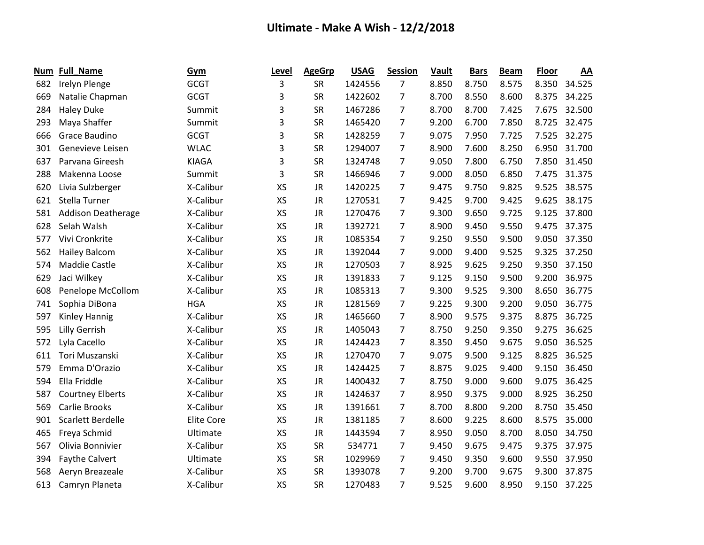| Num | Full_Name                 | <b>Gym</b>        | Level     | <b>AgeGrp</b> | <b>USAG</b> | Session        | Vault | <b>Bars</b> | <b>Beam</b> | <b>Floor</b> | AA     |
|-----|---------------------------|-------------------|-----------|---------------|-------------|----------------|-------|-------------|-------------|--------------|--------|
| 682 | Irelyn Plenge             | <b>GCGT</b>       | 3         | SR            | 1424556     | $\overline{7}$ | 8.850 | 8.750       | 8.575       | 8.350        | 34.525 |
| 669 | Natalie Chapman           | <b>GCGT</b>       | 3         | <b>SR</b>     | 1422602     | 7              | 8.700 | 8.550       | 8.600       | 8.375        | 34.225 |
| 284 | <b>Haley Duke</b>         | Summit            | 3         | <b>SR</b>     | 1467286     | $\overline{7}$ | 8.700 | 8.700       | 7.425       | 7.675        | 32.500 |
| 293 | Maya Shaffer              | Summit            | 3         | <b>SR</b>     | 1465420     | $\overline{7}$ | 9.200 | 6.700       | 7.850       | 8.725        | 32.475 |
| 666 | Grace Baudino             | <b>GCGT</b>       | 3         | <b>SR</b>     | 1428259     | 7              | 9.075 | 7.950       | 7.725       | 7.525        | 32.275 |
| 301 | Genevieve Leisen          | <b>WLAC</b>       | 3         | <b>SR</b>     | 1294007     | $\overline{7}$ | 8.900 | 7.600       | 8.250       | 6.950        | 31.700 |
| 637 | Parvana Gireesh           | <b>KIAGA</b>      | 3         | <b>SR</b>     | 1324748     | $\overline{7}$ | 9.050 | 7.800       | 6.750       | 7.850        | 31.450 |
| 288 | Makenna Loose             | Summit            | 3         | <b>SR</b>     | 1466946     | 7              | 9.000 | 8.050       | 6.850       | 7.475        | 31.375 |
| 620 | Livia Sulzberger          | X-Calibur         | XS        | <b>JR</b>     | 1420225     | $\overline{7}$ | 9.475 | 9.750       | 9.825       | 9.525        | 38.575 |
| 621 | Stella Turner             | X-Calibur         | <b>XS</b> | <b>JR</b>     | 1270531     | $\overline{7}$ | 9.425 | 9.700       | 9.425       | 9.625        | 38.175 |
| 581 | <b>Addison Deatherage</b> | X-Calibur         | <b>XS</b> | <b>JR</b>     | 1270476     | 7              | 9.300 | 9.650       | 9.725       | 9.125        | 37.800 |
| 628 | Selah Walsh               | X-Calibur         | <b>XS</b> | <b>JR</b>     | 1392721     | $\overline{7}$ | 8.900 | 9.450       | 9.550       | 9.475        | 37.375 |
| 577 | Vivi Cronkrite            | X-Calibur         | <b>XS</b> | <b>JR</b>     | 1085354     | $\overline{7}$ | 9.250 | 9.550       | 9.500       | 9.050        | 37.350 |
| 562 | <b>Hailey Balcom</b>      | X-Calibur         | XS        | <b>JR</b>     | 1392044     | $\overline{7}$ | 9.000 | 9.400       | 9.525       | 9.325        | 37.250 |
| 574 | Maddie Castle             | X-Calibur         | XS        | <b>JR</b>     | 1270503     | $\overline{7}$ | 8.925 | 9.625       | 9.250       | 9.350        | 37.150 |
| 629 | Jaci Wilkey               | X-Calibur         | <b>XS</b> | <b>JR</b>     | 1391833     | $\overline{7}$ | 9.125 | 9.150       | 9.500       | 9.200        | 36.975 |
| 608 | Penelope McCollom         | X-Calibur         | XS        | <b>JR</b>     | 1085313     | $\overline{7}$ | 9.300 | 9.525       | 9.300       | 8.650        | 36.775 |
| 741 | Sophia DiBona             | <b>HGA</b>        | <b>XS</b> | <b>JR</b>     | 1281569     | $\overline{7}$ | 9.225 | 9.300       | 9.200       | 9.050        | 36.775 |
| 597 | Kinley Hannig             | X-Calibur         | XS        | JR            | 1465660     | $\overline{7}$ | 8.900 | 9.575       | 9.375       | 8.875        | 36.725 |
| 595 | Lilly Gerrish             | X-Calibur         | <b>XS</b> | <b>JR</b>     | 1405043     | 7              | 8.750 | 9.250       | 9.350       | 9.275        | 36.625 |
| 572 | Lyla Cacello              | X-Calibur         | <b>XS</b> | <b>JR</b>     | 1424423     | $\overline{7}$ | 8.350 | 9.450       | 9.675       | 9.050        | 36.525 |
| 611 | Tori Muszanski            | X-Calibur         | <b>XS</b> | <b>JR</b>     | 1270470     | $\overline{7}$ | 9.075 | 9.500       | 9.125       | 8.825        | 36.525 |
| 579 | Emma D'Orazio             | X-Calibur         | <b>XS</b> | <b>JR</b>     | 1424425     | 7              | 8.875 | 9.025       | 9.400       | 9.150        | 36.450 |
| 594 | Ella Friddle              | X-Calibur         | <b>XS</b> | <b>JR</b>     | 1400432     | $\overline{7}$ | 8.750 | 9.000       | 9.600       | 9.075        | 36.425 |
| 587 | <b>Courtney Elberts</b>   | X-Calibur         | XS        | <b>JR</b>     | 1424637     | $\overline{7}$ | 8.950 | 9.375       | 9.000       | 8.925        | 36.250 |
| 569 | Carlie Brooks             | X-Calibur         | <b>XS</b> | JR            | 1391661     | 7              | 8.700 | 8.800       | 9.200       | 8.750        | 35.450 |
| 901 | Scarlett Berdelle         | <b>Elite Core</b> | <b>XS</b> | <b>JR</b>     | 1381185     | 7              | 8.600 | 9.225       | 8.600       | 8.575        | 35.000 |
| 465 | Freya Schmid              | Ultimate          | <b>XS</b> | <b>JR</b>     | 1443594     | $\overline{7}$ | 8.950 | 9.050       | 8.700       | 8.050        | 34.750 |
| 567 | Olivia Bonnivier          | X-Calibur         | <b>XS</b> | <b>SR</b>     | 534771      | 7              | 9.450 | 9.675       | 9.475       | 9.375        | 37.975 |
| 394 | <b>Faythe Calvert</b>     | Ultimate          | <b>XS</b> | <b>SR</b>     | 1029969     | $\overline{7}$ | 9.450 | 9.350       | 9.600       | 9.550        | 37.950 |
| 568 | Aeryn Breazeale           | X-Calibur         | <b>XS</b> | <b>SR</b>     | 1393078     | 7              | 9.200 | 9.700       | 9.675       | 9.300        | 37.875 |
| 613 | Camryn Planeta            | X-Calibur         | <b>XS</b> | <b>SR</b>     | 1270483     | 7              | 9.525 | 9.600       | 8.950       | 9.150        | 37.225 |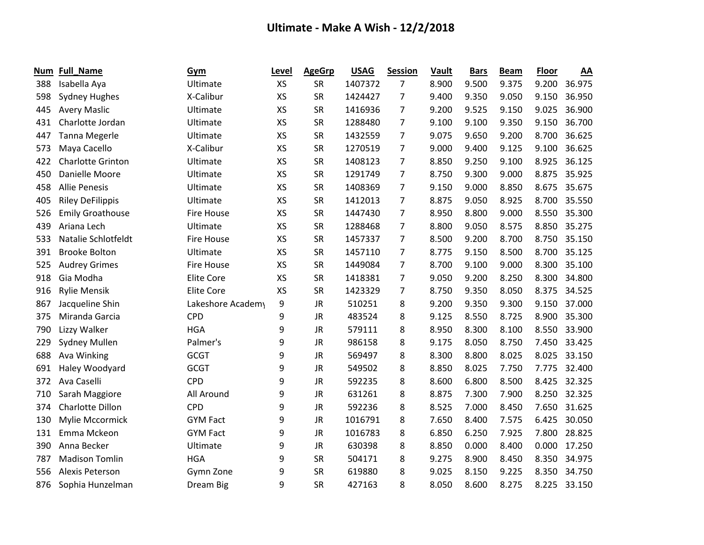| Num | Full_Name                | Gym               | Level     | <b>AgeGrp</b> | <b>USAG</b> | Session        | Vault | <b>Bars</b> | <b>Beam</b> | <b>Floor</b> | AA     |
|-----|--------------------------|-------------------|-----------|---------------|-------------|----------------|-------|-------------|-------------|--------------|--------|
| 388 | Isabella Aya             | Ultimate          | <b>XS</b> | SR            | 1407372     | 7              | 8.900 | 9.500       | 9.375       | 9.200        | 36.975 |
| 598 | <b>Sydney Hughes</b>     | X-Calibur         | <b>XS</b> | <b>SR</b>     | 1424427     | 7              | 9.400 | 9.350       | 9.050       | 9.150        | 36.950 |
| 445 | <b>Avery Maslic</b>      | Ultimate          | XS        | <b>SR</b>     | 1416936     | 7              | 9.200 | 9.525       | 9.150       | 9.025        | 36.900 |
| 431 | Charlotte Jordan         | Ultimate          | XS        | <b>SR</b>     | 1288480     | $\overline{7}$ | 9.100 | 9.100       | 9.350       | 9.150        | 36.700 |
| 447 | <b>Tanna Megerle</b>     | Ultimate          | <b>XS</b> | <b>SR</b>     | 1432559     | 7              | 9.075 | 9.650       | 9.200       | 8.700        | 36.625 |
| 573 | Maya Cacello             | X-Calibur         | XS        | <b>SR</b>     | 1270519     | $\overline{7}$ | 9.000 | 9.400       | 9.125       | 9.100        | 36.625 |
| 422 | <b>Charlotte Grinton</b> | Ultimate          | XS        | <b>SR</b>     | 1408123     | $\overline{7}$ | 8.850 | 9.250       | 9.100       | 8.925        | 36.125 |
| 450 | Danielle Moore           | Ultimate          | XS        | <b>SR</b>     | 1291749     | $\overline{7}$ | 8.750 | 9.300       | 9.000       | 8.875        | 35.925 |
| 458 | <b>Allie Penesis</b>     | Ultimate          | <b>XS</b> | <b>SR</b>     | 1408369     | $\overline{7}$ | 9.150 | 9.000       | 8.850       | 8.675        | 35.675 |
| 405 | <b>Riley DeFilippis</b>  | Ultimate          | XS        | <b>SR</b>     | 1412013     | $\overline{7}$ | 8.875 | 9.050       | 8.925       | 8.700        | 35.550 |
| 526 | <b>Emily Groathouse</b>  | <b>Fire House</b> | XS        | <b>SR</b>     | 1447430     | 7              | 8.950 | 8.800       | 9.000       | 8.550        | 35.300 |
| 439 | Ariana Lech              | Ultimate          | <b>XS</b> | <b>SR</b>     | 1288468     | 7              | 8.800 | 9.050       | 8.575       | 8.850        | 35.275 |
| 533 | Natalie Schlotfeldt      | <b>Fire House</b> | XS        | <b>SR</b>     | 1457337     | $\overline{7}$ | 8.500 | 9.200       | 8.700       | 8.750        | 35.150 |
| 391 | <b>Brooke Bolton</b>     | Ultimate          | XS        | <b>SR</b>     | 1457110     | $\overline{7}$ | 8.775 | 9.150       | 8.500       | 8.700        | 35.125 |
| 525 | <b>Audrey Grimes</b>     | <b>Fire House</b> | XS        | <b>SR</b>     | 1449084     | $\overline{7}$ | 8.700 | 9.100       | 9.000       | 8.300        | 35.100 |
| 918 | Gia Modha                | <b>Elite Core</b> | XS        | <b>SR</b>     | 1418381     | 7              | 9.050 | 9.200       | 8.250       | 8.300        | 34.800 |
| 916 | <b>Rylie Mensik</b>      | <b>Elite Core</b> | XS        | <b>SR</b>     | 1423329     | 7              | 8.750 | 9.350       | 8.050       | 8.375        | 34.525 |
| 867 | Jacqueline Shin          | Lakeshore Academy | 9         | <b>JR</b>     | 510251      | 8              | 9.200 | 9.350       | 9.300       | 9.150        | 37.000 |
| 375 | Miranda Garcia           | <b>CPD</b>        | 9         | <b>JR</b>     | 483524      | 8              | 9.125 | 8.550       | 8.725       | 8.900        | 35.300 |
| 790 | Lizzy Walker             | <b>HGA</b>        | 9         | <b>JR</b>     | 579111      | 8              | 8.950 | 8.300       | 8.100       | 8.550        | 33.900 |
| 229 | Sydney Mullen            | Palmer's          | 9         | <b>JR</b>     | 986158      | 8              | 9.175 | 8.050       | 8.750       | 7.450        | 33.425 |
| 688 | Ava Winking              | <b>GCGT</b>       | 9         | <b>JR</b>     | 569497      | 8              | 8.300 | 8.800       | 8.025       | 8.025        | 33.150 |
| 691 | Haley Woodyard           | <b>GCGT</b>       | 9         | <b>JR</b>     | 549502      | 8              | 8.850 | 8.025       | 7.750       | 7.775        | 32.400 |
| 372 | Ava Caselli              | <b>CPD</b>        | 9         | <b>JR</b>     | 592235      | 8              | 8.600 | 6.800       | 8.500       | 8.425        | 32.325 |
| 710 | Sarah Maggiore           | All Around        | 9         | <b>JR</b>     | 631261      | 8              | 8.875 | 7.300       | 7.900       | 8.250        | 32.325 |
| 374 | Charlotte Dillon         | <b>CPD</b>        | 9         | <b>JR</b>     | 592236      | 8              | 8.525 | 7.000       | 8.450       | 7.650        | 31.625 |
| 130 | Mylie Mccormick          | <b>GYM Fact</b>   | 9         | <b>JR</b>     | 1016791     | 8              | 7.650 | 8.400       | 7.575       | 6.425        | 30.050 |
| 131 | Emma Mckeon              | <b>GYM Fact</b>   | 9         | <b>JR</b>     | 1016783     | 8              | 6.850 | 6.250       | 7.925       | 7.800        | 28.825 |
| 390 | Anna Becker              | Ultimate          | 9         | <b>JR</b>     | 630398      | 8              | 8.850 | 0.000       | 8.400       | 0.000        | 17.250 |
| 787 | <b>Madison Tomlin</b>    | <b>HGA</b>        | 9         | <b>SR</b>     | 504171      | 8              | 9.275 | 8.900       | 8.450       | 8.350        | 34.975 |
| 556 | Alexis Peterson          | Gymn Zone         | 9         | <b>SR</b>     | 619880      | 8              | 9.025 | 8.150       | 9.225       | 8.350        | 34.750 |
| 876 | Sophia Hunzelman         | Dream Big         | 9         | <b>SR</b>     | 427163      | 8              | 8.050 | 8.600       | 8.275       | 8.225        | 33.150 |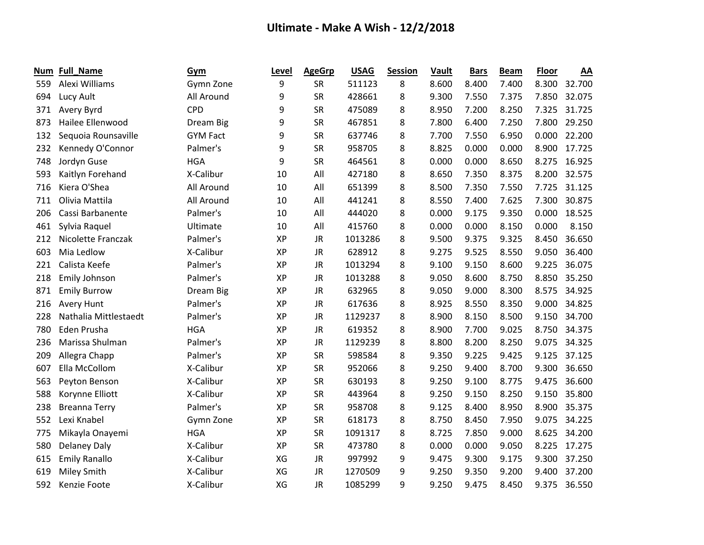| Num | <b>Full_Name</b>      | Gym             | Level     | <b>AgeGrp</b> | <b>USAG</b> | <b>Session</b> | <b>Vault</b> | <b>Bars</b> | <b>Beam</b> | <b>Floor</b> | AA     |
|-----|-----------------------|-----------------|-----------|---------------|-------------|----------------|--------------|-------------|-------------|--------------|--------|
| 559 | Alexi Williams        | Gymn Zone       | 9         | SR            | 511123      | 8              | 8.600        | 8.400       | 7.400       | 8.300        | 32.700 |
| 694 | Lucy Ault             | All Around      | 9         | <b>SR</b>     | 428661      | 8              | 9.300        | 7.550       | 7.375       | 7.850        | 32.075 |
| 371 | Avery Byrd            | <b>CPD</b>      | 9         | <b>SR</b>     | 475089      | 8              | 8.950        | 7.200       | 8.250       | 7.325        | 31.725 |
| 873 | Hailee Ellenwood      | Dream Big       | 9         | <b>SR</b>     | 467851      | 8              | 7.800        | 6.400       | 7.250       | 7.800        | 29.250 |
| 132 | Sequoia Rounsaville   | <b>GYM Fact</b> | 9         | <b>SR</b>     | 637746      | 8              | 7.700        | 7.550       | 6.950       | 0.000        | 22.200 |
| 232 | Kennedy O'Connor      | Palmer's        | 9         | <b>SR</b>     | 958705      | 8              | 8.825        | 0.000       | 0.000       | 8.900        | 17.725 |
| 748 | Jordyn Guse           | <b>HGA</b>      | 9         | <b>SR</b>     | 464561      | 8              | 0.000        | 0.000       | 8.650       | 8.275        | 16.925 |
| 593 | Kaitlyn Forehand      | X-Calibur       | 10        | All           | 427180      | 8              | 8.650        | 7.350       | 8.375       | 8.200        | 32.575 |
| 716 | Kiera O'Shea          | All Around      | 10        | All           | 651399      | 8              | 8.500        | 7.350       | 7.550       | 7.725        | 31.125 |
| 711 | Olivia Mattila        | All Around      | 10        | All           | 441241      | 8              | 8.550        | 7.400       | 7.625       | 7.300        | 30.875 |
| 206 | Cassi Barbanente      | Palmer's        | 10        | All           | 444020      | 8              | 0.000        | 9.175       | 9.350       | 0.000        | 18.525 |
| 461 | Sylvia Raquel         | Ultimate        | 10        | All           | 415760      | 8              | 0.000        | 0.000       | 8.150       | 0.000        | 8.150  |
| 212 | Nicolette Franczak    | Palmer's        | <b>XP</b> | <b>JR</b>     | 1013286     | 8              | 9.500        | 9.375       | 9.325       | 8.450        | 36.650 |
| 603 | Mia Ledlow            | X-Calibur       | <b>XP</b> | <b>JR</b>     | 628912      | 8              | 9.275        | 9.525       | 8.550       | 9.050        | 36.400 |
| 221 | Calista Keefe         | Palmer's        | XP        | JR            | 1013294     | 8              | 9.100        | 9.150       | 8.600       | 9.225        | 36.075 |
| 218 | Emily Johnson         | Palmer's        | <b>XP</b> | <b>JR</b>     | 1013288     | 8              | 9.050        | 8.600       | 8.750       | 8.850        | 35.250 |
| 871 | <b>Emily Burrow</b>   | Dream Big       | <b>XP</b> | <b>JR</b>     | 632965      | 8              | 9.050        | 9.000       | 8.300       | 8.575        | 34.925 |
| 216 | <b>Avery Hunt</b>     | Palmer's        | XP        | <b>JR</b>     | 617636      | 8              | 8.925        | 8.550       | 8.350       | 9.000        | 34.825 |
| 228 | Nathalia Mittlestaedt | Palmer's        | <b>XP</b> | <b>JR</b>     | 1129237     | 8              | 8.900        | 8.150       | 8.500       | 9.150        | 34.700 |
| 780 | Eden Prusha           | <b>HGA</b>      | <b>XP</b> | <b>JR</b>     | 619352      | 8              | 8.900        | 7.700       | 9.025       | 8.750        | 34.375 |
| 236 | Marissa Shulman       | Palmer's        | <b>XP</b> | <b>JR</b>     | 1129239     | 8              | 8.800        | 8.200       | 8.250       | 9.075        | 34.325 |
| 209 | Allegra Chapp         | Palmer's        | <b>XP</b> | <b>SR</b>     | 598584      | 8              | 9.350        | 9.225       | 9.425       | 9.125        | 37.125 |
| 607 | Ella McCollom         | X-Calibur       | <b>XP</b> | <b>SR</b>     | 952066      | 8              | 9.250        | 9.400       | 8.700       | 9.300        | 36.650 |
| 563 | Peyton Benson         | X-Calibur       | <b>XP</b> | <b>SR</b>     | 630193      | 8              | 9.250        | 9.100       | 8.775       | 9.475        | 36.600 |
| 588 | Korynne Elliott       | X-Calibur       | <b>XP</b> | <b>SR</b>     | 443964      | 8              | 9.250        | 9.150       | 8.250       | 9.150        | 35.800 |
| 238 | <b>Breanna Terry</b>  | Palmer's        | XP        | SR            | 958708      | 8              | 9.125        | 8.400       | 8.950       | 8.900        | 35.375 |
| 552 | Lexi Knabel           | Gymn Zone       | <b>XP</b> | <b>SR</b>     | 618173      | 8              | 8.750        | 8.450       | 7.950       | 9.075        | 34.225 |
| 775 | Mikayla Onayemi       | <b>HGA</b>      | <b>XP</b> | <b>SR</b>     | 1091317     | 8              | 8.725        | 7.850       | 9.000       | 8.625        | 34.200 |
| 580 | <b>Delaney Daly</b>   | X-Calibur       | XP        | <b>SR</b>     | 473780      | 8              | 0.000        | 0.000       | 9.050       | 8.225        | 17.275 |
| 615 | <b>Emily Ranallo</b>  | X-Calibur       | XG        | <b>JR</b>     | 997992      | 9              | 9.475        | 9.300       | 9.175       | 9.300        | 37.250 |
| 619 | Miley Smith           | X-Calibur       | XG        | <b>JR</b>     | 1270509     | 9              | 9.250        | 9.350       | 9.200       | 9.400        | 37.200 |
| 592 | Kenzie Foote          | X-Calibur       | XG        | <b>JR</b>     | 1085299     | 9              | 9.250        | 9.475       | 8.450       | 9.375        | 36.550 |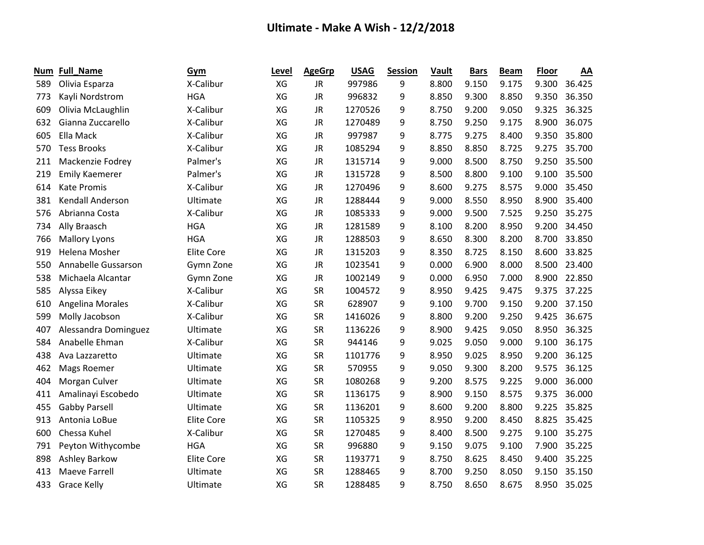| Num | <b>Full_Name</b>        | Gym               | Level | <b>AgeGrp</b> | <b>USAG</b> | <b>Session</b> | Vault | <b>Bars</b> | <b>Beam</b> | <b>Floor</b> | AA     |
|-----|-------------------------|-------------------|-------|---------------|-------------|----------------|-------|-------------|-------------|--------------|--------|
| 589 | Olivia Esparza          | X-Calibur         | XG    | <b>JR</b>     | 997986      | 9              | 8.800 | 9.150       | 9.175       | 9.300        | 36.425 |
| 773 | Kayli Nordstrom         | <b>HGA</b>        | XG    | <b>JR</b>     | 996832      | 9              | 8.850 | 9.300       | 8.850       | 9.350        | 36.350 |
| 609 | Olivia McLaughlin       | X-Calibur         | XG    | <b>JR</b>     | 1270526     | 9              | 8.750 | 9.200       | 9.050       | 9.325        | 36.325 |
| 632 | Gianna Zuccarello       | X-Calibur         | XG    | <b>JR</b>     | 1270489     | 9              | 8.750 | 9.250       | 9.175       | 8.900        | 36.075 |
| 605 | Ella Mack               | X-Calibur         | XG    | <b>JR</b>     | 997987      | 9              | 8.775 | 9.275       | 8.400       | 9.350        | 35.800 |
| 570 | <b>Tess Brooks</b>      | X-Calibur         | XG    | <b>JR</b>     | 1085294     | 9              | 8.850 | 8.850       | 8.725       | 9.275        | 35.700 |
| 211 | Mackenzie Fodrey        | Palmer's          | XG    | <b>JR</b>     | 1315714     | 9              | 9.000 | 8.500       | 8.750       | 9.250        | 35.500 |
| 219 | <b>Emily Kaemerer</b>   | Palmer's          | XG    | JR            | 1315728     | 9              | 8.500 | 8.800       | 9.100       | 9.100        | 35.500 |
| 614 | <b>Kate Promis</b>      | X-Calibur         | XG    | <b>JR</b>     | 1270496     | 9              | 8.600 | 9.275       | 8.575       | 9.000        | 35.450 |
| 381 | <b>Kendall Anderson</b> | Ultimate          | XG    | <b>JR</b>     | 1288444     | 9              | 9.000 | 8.550       | 8.950       | 8.900        | 35.400 |
| 576 | Abrianna Costa          | X-Calibur         | XG    | JR            | 1085333     | 9              | 9.000 | 9.500       | 7.525       | 9.250        | 35.275 |
| 734 | Ally Braasch            | <b>HGA</b>        | XG    | <b>JR</b>     | 1281589     | 9              | 8.100 | 8.200       | 8.950       | 9.200        | 34.450 |
| 766 | <b>Mallory Lyons</b>    | <b>HGA</b>        | XG    | JR            | 1288503     | 9              | 8.650 | 8.300       | 8.200       | 8.700        | 33.850 |
| 919 | Helena Mosher           | <b>Elite Core</b> | XG    | <b>JR</b>     | 1315203     | 9              | 8.350 | 8.725       | 8.150       | 8.600        | 33.825 |
| 550 | Annabelle Gussarson     | Gymn Zone         | XG    | <b>JR</b>     | 1023541     | 9              | 0.000 | 6.900       | 8.000       | 8.500        | 23.400 |
| 538 | Michaela Alcantar       | Gymn Zone         | XG    | JR            | 1002149     | 9              | 0.000 | 6.950       | 7.000       | 8.900        | 22.850 |
| 585 | Alyssa Eikey            | X-Calibur         | XG    | <b>SR</b>     | 1004572     | 9              | 8.950 | 9.425       | 9.475       | 9.375        | 37.225 |
| 610 | <b>Angelina Morales</b> | X-Calibur         | XG    | <b>SR</b>     | 628907      | 9              | 9.100 | 9.700       | 9.150       | 9.200        | 37.150 |
| 599 | Molly Jacobson          | X-Calibur         | XG    | <b>SR</b>     | 1416026     | 9              | 8.800 | 9.200       | 9.250       | 9.425        | 36.675 |
| 407 | Alessandra Dominguez    | Ultimate          | XG    | <b>SR</b>     | 1136226     | 9              | 8.900 | 9.425       | 9.050       | 8.950        | 36.325 |
| 584 | Anabelle Ehman          | X-Calibur         | XG    | <b>SR</b>     | 944146      | 9              | 9.025 | 9.050       | 9.000       | 9.100        | 36.175 |
| 438 | Ava Lazzaretto          | Ultimate          | XG    | <b>SR</b>     | 1101776     | 9              | 8.950 | 9.025       | 8.950       | 9.200        | 36.125 |
| 462 | Mags Roemer             | Ultimate          | XG    | <b>SR</b>     | 570955      | 9              | 9.050 | 9.300       | 8.200       | 9.575        | 36.125 |
| 404 | Morgan Culver           | Ultimate          | XG    | <b>SR</b>     | 1080268     | 9              | 9.200 | 8.575       | 9.225       | 9.000        | 36.000 |
| 411 | Amalinayi Escobedo      | Ultimate          | XG    | <b>SR</b>     | 1136175     | 9              | 8.900 | 9.150       | 8.575       | 9.375        | 36.000 |
| 455 | <b>Gabby Parsell</b>    | Ultimate          | XG    | <b>SR</b>     | 1136201     | 9              | 8.600 | 9.200       | 8.800       | 9.225        | 35.825 |
| 913 | Antonia LoBue           | <b>Elite Core</b> | XG    | <b>SR</b>     | 1105325     | 9              | 8.950 | 9.200       | 8.450       | 8.825        | 35.425 |
| 600 | Chessa Kuhel            | X-Calibur         | XG    | <b>SR</b>     | 1270485     | 9              | 8.400 | 8.500       | 9.275       | 9.100        | 35.275 |
| 791 | Peyton Withycombe       | <b>HGA</b>        | XG    | <b>SR</b>     | 996880      | 9              | 9.150 | 9.075       | 9.100       | 7.900        | 35.225 |
| 898 | <b>Ashley Barkow</b>    | <b>Elite Core</b> | XG    | <b>SR</b>     | 1193771     | 9              | 8.750 | 8.625       | 8.450       | 9.400        | 35.225 |
| 413 | <b>Maeve Farrell</b>    | Ultimate          | XG    | <b>SR</b>     | 1288465     | 9              | 8.700 | 9.250       | 8.050       | 9.150        | 35.150 |
| 433 | <b>Grace Kelly</b>      | Ultimate          | XG    | <b>SR</b>     | 1288485     | 9              | 8.750 | 8.650       | 8.675       | 8.950        | 35.025 |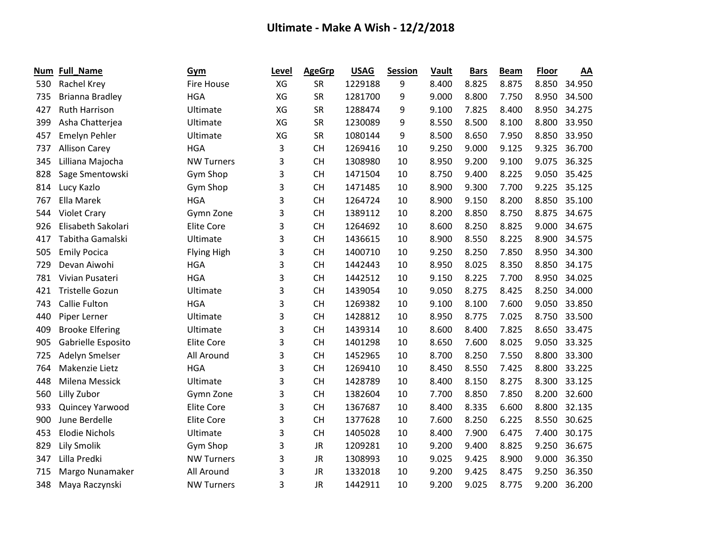| Num | <b>Full_Name</b>       | Gym                | Level | <b>AgeGrp</b> | <b>USAG</b> | <b>Session</b> | Vault | <b>Bars</b> | <b>Beam</b> | <b>Floor</b> | AA     |
|-----|------------------------|--------------------|-------|---------------|-------------|----------------|-------|-------------|-------------|--------------|--------|
| 530 | Rachel Krey            | <b>Fire House</b>  | XG    | <b>SR</b>     | 1229188     | 9              | 8.400 | 8.825       | 8.875       | 8.850        | 34.950 |
| 735 | <b>Brianna Bradley</b> | <b>HGA</b>         | XG    | <b>SR</b>     | 1281700     | 9              | 9.000 | 8.800       | 7.750       | 8.950        | 34.500 |
| 427 | <b>Ruth Harrison</b>   | Ultimate           | XG    | <b>SR</b>     | 1288474     | 9              | 9.100 | 7.825       | 8.400       | 8.950        | 34.275 |
| 399 | Asha Chatterjea        | Ultimate           | XG    | <b>SR</b>     | 1230089     | 9              | 8.550 | 8.500       | 8.100       | 8.800        | 33.950 |
| 457 | Emelyn Pehler          | Ultimate           | XG    | <b>SR</b>     | 1080144     | 9              | 8.500 | 8.650       | 7.950       | 8.850        | 33.950 |
| 737 | <b>Allison Carey</b>   | <b>HGA</b>         | 3     | <b>CH</b>     | 1269416     | 10             | 9.250 | 9.000       | 9.125       | 9.325        | 36.700 |
| 345 | Lilliana Majocha       | <b>NW Turners</b>  | 3     | <b>CH</b>     | 1308980     | 10             | 8.950 | 9.200       | 9.100       | 9.075        | 36.325 |
| 828 | Sage Smentowski        | Gym Shop           | 3     | <b>CH</b>     | 1471504     | 10             | 8.750 | 9.400       | 8.225       | 9.050        | 35.425 |
| 814 | Lucy Kazlo             | Gym Shop           | 3     | <b>CH</b>     | 1471485     | 10             | 8.900 | 9.300       | 7.700       | 9.225        | 35.125 |
| 767 | Ella Marek             | <b>HGA</b>         | 3     | <b>CH</b>     | 1264724     | 10             | 8.900 | 9.150       | 8.200       | 8.850        | 35.100 |
| 544 | <b>Violet Crary</b>    | Gymn Zone          | 3     | <b>CH</b>     | 1389112     | 10             | 8.200 | 8.850       | 8.750       | 8.875        | 34.675 |
| 926 | Elisabeth Sakolari     | <b>Elite Core</b>  | 3     | <b>CH</b>     | 1264692     | 10             | 8.600 | 8.250       | 8.825       | 9.000        | 34.675 |
| 417 | Tabitha Gamalski       | Ultimate           | 3     | <b>CH</b>     | 1436615     | 10             | 8.900 | 8.550       | 8.225       | 8.900        | 34.575 |
| 505 | <b>Emily Pocica</b>    | <b>Flying High</b> | 3     | <b>CH</b>     | 1400710     | 10             | 9.250 | 8.250       | 7.850       | 8.950        | 34.300 |
| 729 | Devan Aiwohi           | <b>HGA</b>         | 3     | <b>CH</b>     | 1442443     | 10             | 8.950 | 8.025       | 8.350       | 8.850        | 34.175 |
| 781 | Vivian Pusateri        | <b>HGA</b>         | 3     | <b>CH</b>     | 1442512     | 10             | 9.150 | 8.225       | 7.700       | 8.950        | 34.025 |
| 421 | <b>Tristelle Gozun</b> | Ultimate           | 3     | <b>CH</b>     | 1439054     | 10             | 9.050 | 8.275       | 8.425       | 8.250        | 34.000 |
| 743 | <b>Callie Fulton</b>   | <b>HGA</b>         | 3     | <b>CH</b>     | 1269382     | 10             | 9.100 | 8.100       | 7.600       | 9.050        | 33.850 |
| 440 | Piper Lerner           | Ultimate           | 3     | <b>CH</b>     | 1428812     | 10             | 8.950 | 8.775       | 7.025       | 8.750        | 33.500 |
| 409 | <b>Brooke Elfering</b> | Ultimate           | 3     | <b>CH</b>     | 1439314     | 10             | 8.600 | 8.400       | 7.825       | 8.650        | 33.475 |
| 905 | Gabrielle Esposito     | <b>Elite Core</b>  | 3     | <b>CH</b>     | 1401298     | 10             | 8.650 | 7.600       | 8.025       | 9.050        | 33.325 |
| 725 | Adelyn Smelser         | All Around         | 3     | <b>CH</b>     | 1452965     | 10             | 8.700 | 8.250       | 7.550       | 8.800        | 33.300 |
| 764 | Makenzie Lietz         | <b>HGA</b>         | 3     | <b>CH</b>     | 1269410     | 10             | 8.450 | 8.550       | 7.425       | 8.800        | 33.225 |
| 448 | <b>Milena Messick</b>  | Ultimate           | 3     | <b>CH</b>     | 1428789     | 10             | 8.400 | 8.150       | 8.275       | 8.300        | 33.125 |
| 560 | Lilly Zubor            | Gymn Zone          | 3     | <b>CH</b>     | 1382604     | 10             | 7.700 | 8.850       | 7.850       | 8.200        | 32.600 |
| 933 | Quincey Yarwood        | <b>Elite Core</b>  | 3     | <b>CH</b>     | 1367687     | 10             | 8.400 | 8.335       | 6.600       | 8.800        | 32.135 |
| 900 | June Berdelle          | <b>Elite Core</b>  | 3     | <b>CH</b>     | 1377628     | 10             | 7.600 | 8.250       | 6.225       | 8.550        | 30.625 |
| 453 | <b>Elodie Nichols</b>  | Ultimate           | 3     | <b>CH</b>     | 1405028     | 10             | 8.400 | 7.900       | 6.475       | 7.400        | 30.175 |
| 829 | <b>Lily Smolik</b>     | Gym Shop           | 3     | <b>JR</b>     | 1209281     | 10             | 9.200 | 9.400       | 8.825       | 9.250        | 36.675 |
| 347 | Lilla Predki           | <b>NW Turners</b>  | 3     | JR            | 1308993     | 10             | 9.025 | 9.425       | 8.900       | 9.000        | 36.350 |
| 715 | Margo Nunamaker        | All Around         | 3     | JR            | 1332018     | 10             | 9.200 | 9.425       | 8.475       | 9.250        | 36.350 |
| 348 | Maya Raczynski         | <b>NW Turners</b>  | 3     | <b>JR</b>     | 1442911     | 10             | 9.200 | 9.025       | 8.775       | 9.200        | 36.200 |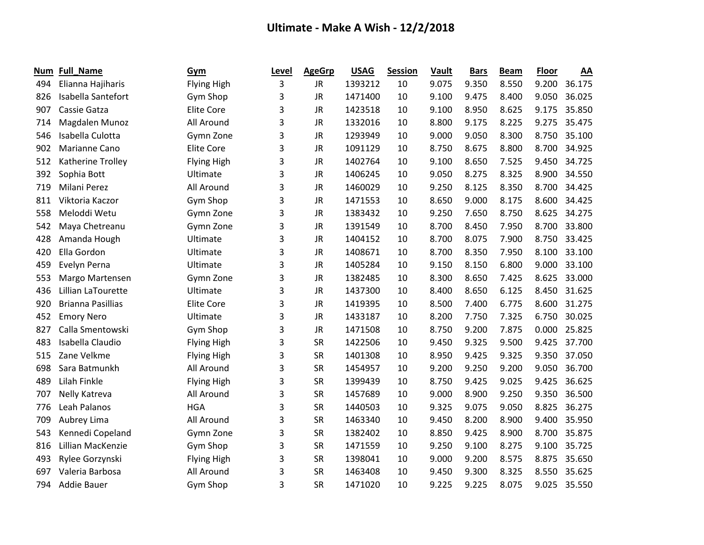| Num | <b>Full_Name</b>         | Gym                | Level | <b>AgeGrp</b> | <b>USAG</b> | <b>Session</b> | <b>Vault</b> | <b>Bars</b> | <b>Beam</b> | Floor | AA     |
|-----|--------------------------|--------------------|-------|---------------|-------------|----------------|--------------|-------------|-------------|-------|--------|
| 494 | Elianna Hajiharis        | <b>Flying High</b> | 3     | JR.           | 1393212     | 10             | 9.075        | 9.350       | 8.550       | 9.200 | 36.175 |
| 826 | Isabella Santefort       | Gym Shop           | 3     | <b>JR</b>     | 1471400     | 10             | 9.100        | 9.475       | 8.400       | 9.050 | 36.025 |
| 907 | Cassie Gatza             | <b>Elite Core</b>  | 3     | <b>JR</b>     | 1423518     | 10             | 9.100        | 8.950       | 8.625       | 9.175 | 35.850 |
| 714 | Magdalen Munoz           | All Around         | 3     | <b>JR</b>     | 1332016     | 10             | 8.800        | 9.175       | 8.225       | 9.275 | 35.475 |
| 546 | Isabella Culotta         | Gymn Zone          | 3     | <b>JR</b>     | 1293949     | 10             | 9.000        | 9.050       | 8.300       | 8.750 | 35.100 |
| 902 | Marianne Cano            | <b>Elite Core</b>  | 3     | <b>JR</b>     | 1091129     | 10             | 8.750        | 8.675       | 8.800       | 8.700 | 34.925 |
| 512 | Katherine Trolley        | Flying High        | 3     | <b>JR</b>     | 1402764     | 10             | 9.100        | 8.650       | 7.525       | 9.450 | 34.725 |
| 392 | Sophia Bott              | Ultimate           | 3     | <b>JR</b>     | 1406245     | 10             | 9.050        | 8.275       | 8.325       | 8.900 | 34.550 |
| 719 | Milani Perez             | All Around         | 3     | <b>JR</b>     | 1460029     | 10             | 9.250        | 8.125       | 8.350       | 8.700 | 34.425 |
| 811 | Viktoria Kaczor          | Gym Shop           | 3     | <b>JR</b>     | 1471553     | 10             | 8.650        | 9.000       | 8.175       | 8.600 | 34.425 |
| 558 | Meloddi Wetu             | Gymn Zone          | 3     | <b>JR</b>     | 1383432     | 10             | 9.250        | 7.650       | 8.750       | 8.625 | 34.275 |
| 542 | Maya Chetreanu           | Gymn Zone          | 3     | <b>JR</b>     | 1391549     | 10             | 8.700        | 8.450       | 7.950       | 8.700 | 33.800 |
| 428 | Amanda Hough             | Ultimate           | 3     | <b>JR</b>     | 1404152     | 10             | 8.700        | 8.075       | 7.900       | 8.750 | 33.425 |
| 420 | Ella Gordon              | Ultimate           | 3     | <b>JR</b>     | 1408671     | 10             | 8.700        | 8.350       | 7.950       | 8.100 | 33.100 |
| 459 | Evelyn Perna             | Ultimate           | 3     | <b>JR</b>     | 1405284     | 10             | 9.150        | 8.150       | 6.800       | 9.000 | 33.100 |
| 553 | Margo Martensen          | Gymn Zone          | 3     | JR            | 1382485     | 10             | 8.300        | 8.650       | 7.425       | 8.625 | 33.000 |
| 436 | Lillian LaTourette       | Ultimate           | 3     | <b>JR</b>     | 1437300     | 10             | 8.400        | 8.650       | 6.125       | 8.450 | 31.625 |
| 920 | <b>Brianna Pasillias</b> | <b>Elite Core</b>  | 3     | JR            | 1419395     | 10             | 8.500        | 7.400       | 6.775       | 8.600 | 31.275 |
| 452 | <b>Emory Nero</b>        | Ultimate           | 3     | <b>JR</b>     | 1433187     | 10             | 8.200        | 7.750       | 7.325       | 6.750 | 30.025 |
| 827 | Calla Smentowski         | Gym Shop           | 3     | <b>JR</b>     | 1471508     | 10             | 8.750        | 9.200       | 7.875       | 0.000 | 25.825 |
| 483 | Isabella Claudio         | <b>Flying High</b> | 3     | <b>SR</b>     | 1422506     | 10             | 9.450        | 9.325       | 9.500       | 9.425 | 37.700 |
| 515 | Zane Velkme              | <b>Flying High</b> | 3     | <b>SR</b>     | 1401308     | 10             | 8.950        | 9.425       | 9.325       | 9.350 | 37.050 |
| 698 | Sara Batmunkh            | All Around         | 3     | <b>SR</b>     | 1454957     | 10             | 9.200        | 9.250       | 9.200       | 9.050 | 36.700 |
| 489 | Lilah Finkle             | <b>Flying High</b> | 3     | <b>SR</b>     | 1399439     | 10             | 8.750        | 9.425       | 9.025       | 9.425 | 36.625 |
| 707 | Nelly Katreva            | All Around         | 3     | <b>SR</b>     | 1457689     | 10             | 9.000        | 8.900       | 9.250       | 9.350 | 36.500 |
| 776 | Leah Palanos             | <b>HGA</b>         | 3     | <b>SR</b>     | 1440503     | 10             | 9.325        | 9.075       | 9.050       | 8.825 | 36.275 |
| 709 | Aubrey Lima              | All Around         | 3     | <b>SR</b>     | 1463340     | 10             | 9.450        | 8.200       | 8.900       | 9.400 | 35.950 |
| 543 | Kennedi Copeland         | Gymn Zone          | 3     | <b>SR</b>     | 1382402     | 10             | 8.850        | 9.425       | 8.900       | 8.700 | 35.875 |
| 816 | Lillian MacKenzie        | Gym Shop           | 3     | <b>SR</b>     | 1471559     | 10             | 9.250        | 9.100       | 8.275       | 9.100 | 35.725 |
| 493 | Rylee Gorzynski          | <b>Flying High</b> | 3     | <b>SR</b>     | 1398041     | 10             | 9.000        | 9.200       | 8.575       | 8.875 | 35.650 |
| 697 | Valeria Barbosa          | All Around         | 3     | <b>SR</b>     | 1463408     | 10             | 9.450        | 9.300       | 8.325       | 8.550 | 35.625 |
| 794 | Addie Bauer              | Gym Shop           | 3     | <b>SR</b>     | 1471020     | 10             | 9.225        | 9.225       | 8.075       | 9.025 | 35.550 |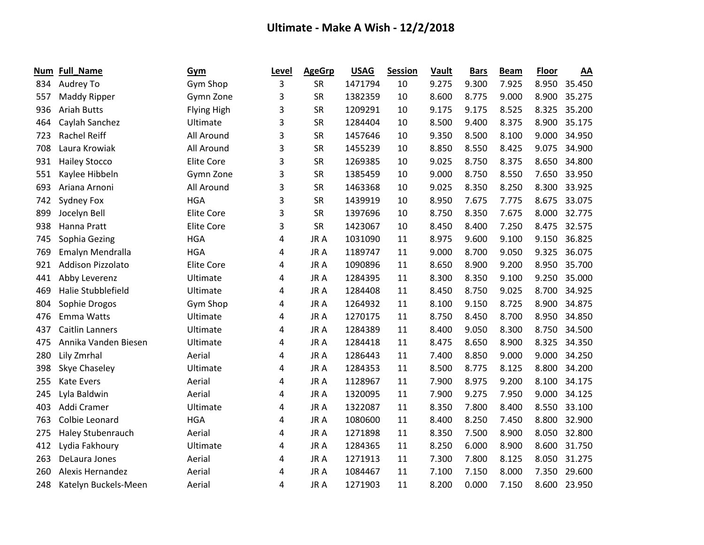| Num | <b>Full_Name</b>         | Gym                | Level | <b>AgeGrp</b> | <b>USAG</b> | <b>Session</b> | <b>Vault</b> | <b>Bars</b> | <b>Beam</b> | <b>Floor</b> | AA     |
|-----|--------------------------|--------------------|-------|---------------|-------------|----------------|--------------|-------------|-------------|--------------|--------|
| 834 | Audrey To                | Gym Shop           | 3     | <b>SR</b>     | 1471794     | 10             | 9.275        | 9.300       | 7.925       | 8.950        | 35.450 |
| 557 | Maddy Ripper             | Gymn Zone          | 3     | <b>SR</b>     | 1382359     | 10             | 8.600        | 8.775       | 9.000       | 8.900        | 35.275 |
| 936 | <b>Ariah Butts</b>       | <b>Flying High</b> | 3     | <b>SR</b>     | 1209291     | 10             | 9.175        | 9.175       | 8.525       | 8.325        | 35.200 |
| 464 | Caylah Sanchez           | Ultimate           | 3     | <b>SR</b>     | 1284404     | 10             | 8.500        | 9.400       | 8.375       | 8.900        | 35.175 |
| 723 | <b>Rachel Reiff</b>      | All Around         | 3     | <b>SR</b>     | 1457646     | 10             | 9.350        | 8.500       | 8.100       | 9.000        | 34.950 |
| 708 | Laura Krowiak            | All Around         | 3     | <b>SR</b>     | 1455239     | 10             | 8.850        | 8.550       | 8.425       | 9.075        | 34.900 |
| 931 | <b>Hailey Stocco</b>     | <b>Elite Core</b>  | 3     | <b>SR</b>     | 1269385     | 10             | 9.025        | 8.750       | 8.375       | 8.650        | 34.800 |
| 551 | Kaylee Hibbeln           | Gymn Zone          | 3     | <b>SR</b>     | 1385459     | 10             | 9.000        | 8.750       | 8.550       | 7.650        | 33.950 |
| 693 | Ariana Arnoni            | All Around         | 3     | <b>SR</b>     | 1463368     | 10             | 9.025        | 8.350       | 8.250       | 8.300        | 33.925 |
| 742 | Sydney Fox               | <b>HGA</b>         | 3     | <b>SR</b>     | 1439919     | 10             | 8.950        | 7.675       | 7.775       | 8.675        | 33.075 |
| 899 | Jocelyn Bell             | <b>Elite Core</b>  | 3     | <b>SR</b>     | 1397696     | 10             | 8.750        | 8.350       | 7.675       | 8.000        | 32.775 |
| 938 | Hanna Pratt              | <b>Elite Core</b>  | 3     | <b>SR</b>     | 1423067     | 10             | 8.450        | 8.400       | 7.250       | 8.475        | 32.575 |
| 745 | Sophia Gezing            | <b>HGA</b>         | 4     | JR A          | 1031090     | 11             | 8.975        | 9.600       | 9.100       | 9.150        | 36.825 |
| 769 | Emalyn Mendralla         | <b>HGA</b>         | 4     | JR A          | 1189747     | 11             | 9.000        | 8.700       | 9.050       | 9.325        | 36.075 |
| 921 | <b>Addison Pizzolato</b> | <b>Elite Core</b>  | 4     | JR A          | 1090896     | 11             | 8.650        | 8.900       | 9.200       | 8.950        | 35.700 |
| 441 | Abby Leverenz            | Ultimate           | 4     | JR A          | 1284395     | 11             | 8.300        | 8.350       | 9.100       | 9.250        | 35.000 |
| 469 | Halie Stubblefield       | Ultimate           | 4     | JR A          | 1284408     | 11             | 8.450        | 8.750       | 9.025       | 8.700        | 34.925 |
| 804 | Sophie Drogos            | Gym Shop           | 4     | JR A          | 1264932     | 11             | 8.100        | 9.150       | 8.725       | 8.900        | 34.875 |
| 476 | Emma Watts               | Ultimate           | 4     | JR A          | 1270175     | 11             | 8.750        | 8.450       | 8.700       | 8.950        | 34.850 |
| 437 | <b>Caitlin Lanners</b>   | Ultimate           | 4     | JR A          | 1284389     | 11             | 8.400        | 9.050       | 8.300       | 8.750        | 34.500 |
| 475 | Annika Vanden Biesen     | Ultimate           | 4     | JR A          | 1284418     | 11             | 8.475        | 8.650       | 8.900       | 8.325        | 34.350 |
| 280 | Lily Zmrhal              | Aerial             | 4     | JR A          | 1286443     | 11             | 7.400        | 8.850       | 9.000       | 9.000        | 34.250 |
| 398 | Skye Chaseley            | Ultimate           | 4     | JR A          | 1284353     | 11             | 8.500        | 8.775       | 8.125       | 8.800        | 34.200 |
| 255 | <b>Kate Evers</b>        | Aerial             | 4     | JR A          | 1128967     | 11             | 7.900        | 8.975       | 9.200       | 8.100        | 34.175 |
| 245 | Lyla Baldwin             | Aerial             | 4     | JR A          | 1320095     | 11             | 7.900        | 9.275       | 7.950       | 9.000        | 34.125 |
| 403 | Addi Cramer              | Ultimate           | 4     | JR A          | 1322087     | 11             | 8.350        | 7.800       | 8.400       | 8.550        | 33.100 |
| 763 | Colbie Leonard           | <b>HGA</b>         | 4     | JR A          | 1080600     | 11             | 8.400        | 8.250       | 7.450       | 8.800        | 32.900 |
| 275 | Haley Stubenrauch        | Aerial             | 4     | JR A          | 1271898     | 11             | 8.350        | 7.500       | 8.900       | 8.050        | 32.800 |
| 412 | Lydia Fakhoury           | Ultimate           | 4     | JR A          | 1284365     | 11             | 8.250        | 6.000       | 8.900       | 8.600        | 31.750 |
| 263 | DeLaura Jones            | Aerial             | 4     | JR A          | 1271913     | 11             | 7.300        | 7.800       | 8.125       | 8.050        | 31.275 |
| 260 | <b>Alexis Hernandez</b>  | Aerial             | 4     | JR A          | 1084467     | 11             | 7.100        | 7.150       | 8.000       | 7.350        | 29.600 |
| 248 | Katelyn Buckels-Meen     | Aerial             | 4     | JR A          | 1271903     | 11             | 8.200        | 0.000       | 7.150       | 8.600        | 23.950 |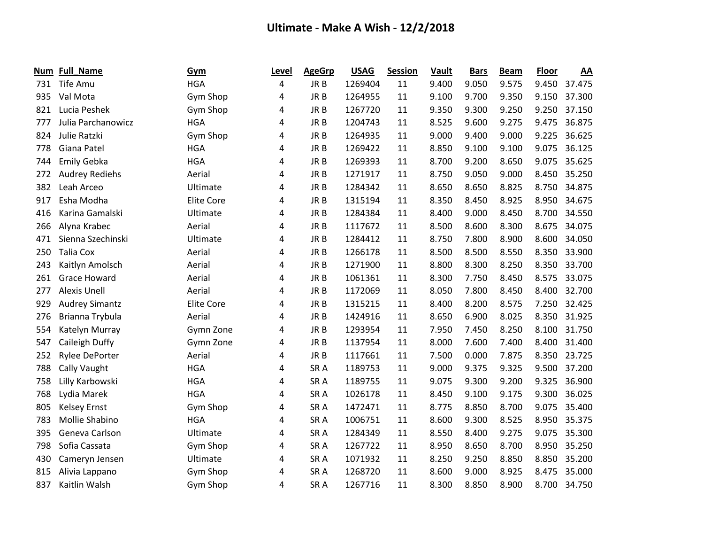| Num | <b>Full_Name</b>      | <b>Gym</b>        | Level | <b>AgeGrp</b>   | <b>USAG</b> | <b>Session</b> | <b>Vault</b> | <b>Bars</b> | <b>Beam</b> | <b>Floor</b> | AA     |
|-----|-----------------------|-------------------|-------|-----------------|-------------|----------------|--------------|-------------|-------------|--------------|--------|
| 731 | Tife Amu              | <b>HGA</b>        | 4     | JR B            | 1269404     | 11             | 9.400        | 9.050       | 9.575       | 9.450        | 37.475 |
| 935 | Val Mota              | Gym Shop          | 4     | JR B            | 1264955     | 11             | 9.100        | 9.700       | 9.350       | 9.150        | 37.300 |
| 821 | Lucia Peshek          | Gym Shop          | 4     | JR B            | 1267720     | 11             | 9.350        | 9.300       | 9.250       | 9.250        | 37.150 |
| 777 | Julia Parchanowicz    | <b>HGA</b>        | 4     | JR B            | 1204743     | 11             | 8.525        | 9.600       | 9.275       | 9.475        | 36.875 |
| 824 | Julie Ratzki          | Gym Shop          | 4     | JR B            | 1264935     | 11             | 9.000        | 9.400       | 9.000       | 9.225        | 36.625 |
| 778 | Giana Patel           | <b>HGA</b>        | 4     | JR B            | 1269422     | 11             | 8.850        | 9.100       | 9.100       | 9.075        | 36.125 |
| 744 | <b>Emily Gebka</b>    | <b>HGA</b>        | 4     | JR <sub>B</sub> | 1269393     | 11             | 8.700        | 9.200       | 8.650       | 9.075        | 35.625 |
| 272 | Audrey Rediehs        | Aerial            | 4     | JR B            | 1271917     | 11             | 8.750        | 9.050       | 9.000       | 8.450        | 35.250 |
| 382 | Leah Arceo            | Ultimate          | 4     | JR B            | 1284342     | 11             | 8.650        | 8.650       | 8.825       | 8.750        | 34.875 |
| 917 | Esha Modha            | <b>Elite Core</b> | 4     | JR <sub>B</sub> | 1315194     | 11             | 8.350        | 8.450       | 8.925       | 8.950        | 34.675 |
| 416 | Karina Gamalski       | Ultimate          | 4     | JR B            | 1284384     | 11             | 8.400        | 9.000       | 8.450       | 8.700        | 34.550 |
| 266 | Alyna Krabec          | Aerial            | 4     | JR B            | 1117672     | 11             | 8.500        | 8.600       | 8.300       | 8.675        | 34.075 |
| 471 | Sienna Szechinski     | Ultimate          | 4     | JR B            | 1284412     | 11             | 8.750        | 7.800       | 8.900       | 8.600        | 34.050 |
| 250 | <b>Talia Cox</b>      | Aerial            | 4     | JR <sub>B</sub> | 1266178     | 11             | 8.500        | 8.500       | 8.550       | 8.350        | 33.900 |
| 243 | Kaitlyn Amolsch       | Aerial            | 4     | JR B            | 1271900     | 11             | 8.800        | 8.300       | 8.250       | 8.350        | 33.700 |
| 261 | <b>Grace Howard</b>   | Aerial            | 4     | JR B            | 1061361     | 11             | 8.300        | 7.750       | 8.450       | 8.575        | 33.075 |
| 277 | <b>Alexis Unell</b>   | Aerial            | 4     | JR B            | 1172069     | 11             | 8.050        | 7.800       | 8.450       | 8.400        | 32.700 |
| 929 | <b>Audrey Simantz</b> | <b>Elite Core</b> | 4     | JR B            | 1315215     | 11             | 8.400        | 8.200       | 8.575       | 7.250        | 32.425 |
| 276 | Brianna Trybula       | Aerial            | 4     | JR B            | 1424916     | 11             | 8.650        | 6.900       | 8.025       | 8.350        | 31.925 |
| 554 | Katelyn Murray        | Gymn Zone         | 4     | JR B            | 1293954     | 11             | 7.950        | 7.450       | 8.250       | 8.100        | 31.750 |
| 547 | Caileigh Duffy        | Gymn Zone         | 4     | JR <sub>B</sub> | 1137954     | 11             | 8.000        | 7.600       | 7.400       | 8.400        | 31.400 |
| 252 | <b>Rylee DePorter</b> | Aerial            | 4     | JR B            | 1117661     | 11             | 7.500        | 0.000       | 7.875       | 8.350        | 23.725 |
| 788 | Cally Vaught          | <b>HGA</b>        | 4     | SR <sub>A</sub> | 1189753     | 11             | 9.000        | 9.375       | 9.325       | 9.500        | 37.200 |
| 758 | Lilly Karbowski       | <b>HGA</b>        | 4     | SR <sub>A</sub> | 1189755     | 11             | 9.075        | 9.300       | 9.200       | 9.325        | 36.900 |
| 768 | Lydia Marek           | <b>HGA</b>        | 4     | SR <sub>A</sub> | 1026178     | 11             | 8.450        | 9.100       | 9.175       | 9.300        | 36.025 |
| 805 | <b>Kelsey Ernst</b>   | Gym Shop          | 4     | SR <sub>A</sub> | 1472471     | 11             | 8.775        | 8.850       | 8.700       | 9.075        | 35.400 |
| 783 | Mollie Shabino        | <b>HGA</b>        | 4     | SR <sub>A</sub> | 1006751     | 11             | 8.600        | 9.300       | 8.525       | 8.950        | 35.375 |
| 395 | Geneva Carlson        | Ultimate          | 4     | SR <sub>A</sub> | 1284349     | 11             | 8.550        | 8.400       | 9.275       | 9.075        | 35.300 |
| 798 | Sofia Cassata         | Gym Shop          | 4     | SR <sub>A</sub> | 1267722     | 11             | 8.950        | 8.650       | 8.700       | 8.950        | 35.250 |
| 430 | Cameryn Jensen        | Ultimate          | 4     | SR <sub>A</sub> | 1071932     | 11             | 8.250        | 9.250       | 8.850       | 8.850        | 35.200 |
| 815 | Alivia Lappano        | Gym Shop          | 4     | SR <sub>A</sub> | 1268720     | 11             | 8.600        | 9.000       | 8.925       | 8.475        | 35.000 |
| 837 | Kaitlin Walsh         | Gym Shop          | 4     | SR <sub>A</sub> | 1267716     | 11             | 8.300        | 8.850       | 8.900       | 8.700        | 34.750 |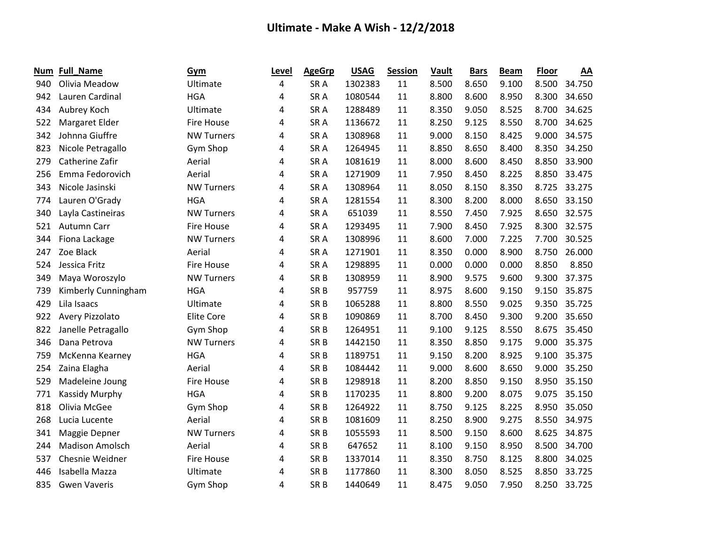| Num | <b>Full_Name</b>       | Gym               | Level | <b>AgeGrp</b>   | <b>USAG</b> | <b>Session</b> | <b>Vault</b> | <b>Bars</b> | <b>Beam</b> | <b>Floor</b> | AA     |
|-----|------------------------|-------------------|-------|-----------------|-------------|----------------|--------------|-------------|-------------|--------------|--------|
| 940 | Olivia Meadow          | Ultimate          | 4     | SR <sub>A</sub> | 1302383     | 11             | 8.500        | 8.650       | 9.100       | 8.500        | 34.750 |
| 942 | Lauren Cardinal        | <b>HGA</b>        | 4     | SR <sub>A</sub> | 1080544     | 11             | 8.800        | 8.600       | 8.950       | 8.300        | 34.650 |
| 434 | Aubrey Koch            | Ultimate          | 4     | SR <sub>A</sub> | 1288489     | 11             | 8.350        | 9.050       | 8.525       | 8.700        | 34.625 |
| 522 | Margaret Elder         | <b>Fire House</b> | 4     | SR <sub>A</sub> | 1136672     | 11             | 8.250        | 9.125       | 8.550       | 8.700        | 34.625 |
| 342 | Johnna Giuffre         | <b>NW Turners</b> | 4     | SR <sub>A</sub> | 1308968     | 11             | 9.000        | 8.150       | 8.425       | 9.000        | 34.575 |
| 823 | Nicole Petragallo      | Gym Shop          | 4     | SR <sub>A</sub> | 1264945     | 11             | 8.850        | 8.650       | 8.400       | 8.350        | 34.250 |
| 279 | Catherine Zafir        | Aerial            | 4     | SR <sub>A</sub> | 1081619     | 11             | 8.000        | 8.600       | 8.450       | 8.850        | 33.900 |
| 256 | Emma Fedorovich        | Aerial            | 4     | SR <sub>A</sub> | 1271909     | 11             | 7.950        | 8.450       | 8.225       | 8.850        | 33.475 |
| 343 | Nicole Jasinski        | <b>NW Turners</b> | 4     | SR <sub>A</sub> | 1308964     | 11             | 8.050        | 8.150       | 8.350       | 8.725        | 33.275 |
| 774 | Lauren O'Grady         | <b>HGA</b>        | 4     | SR <sub>A</sub> | 1281554     | 11             | 8.300        | 8.200       | 8.000       | 8.650        | 33.150 |
| 340 | Layla Castineiras      | <b>NW Turners</b> | 4     | SR <sub>A</sub> | 651039      | 11             | 8.550        | 7.450       | 7.925       | 8.650        | 32.575 |
| 521 | Autumn Carr            | <b>Fire House</b> | 4     | SR <sub>A</sub> | 1293495     | 11             | 7.900        | 8.450       | 7.925       | 8.300        | 32.575 |
| 344 | Fiona Lackage          | <b>NW Turners</b> | 4     | SR <sub>A</sub> | 1308996     | 11             | 8.600        | 7.000       | 7.225       | 7.700        | 30.525 |
| 247 | Zoe Black              | Aerial            | 4     | SR <sub>A</sub> | 1271901     | 11             | 8.350        | 0.000       | 8.900       | 8.750        | 26.000 |
| 524 | Jessica Fritz          | <b>Fire House</b> | 4     | SR <sub>A</sub> | 1298895     | 11             | 0.000        | 0.000       | 0.000       | 8.850        | 8.850  |
| 349 | Maya Woroszylo         | <b>NW Turners</b> | 4     | SR <sub>B</sub> | 1308959     | 11             | 8.900        | 9.575       | 9.600       | 9.300        | 37.375 |
| 739 | Kimberly Cunningham    | <b>HGA</b>        | 4     | SR <sub>B</sub> | 957759      | 11             | 8.975        | 8.600       | 9.150       | 9.150        | 35.875 |
| 429 | Lila Isaacs            | Ultimate          | 4     | SR <sub>B</sub> | 1065288     | 11             | 8.800        | 8.550       | 9.025       | 9.350        | 35.725 |
| 922 | Avery Pizzolato        | <b>Elite Core</b> | 4     | SR <sub>B</sub> | 1090869     | 11             | 8.700        | 8.450       | 9.300       | 9.200        | 35.650 |
| 822 | Janelle Petragallo     | Gym Shop          | 4     | SR <sub>B</sub> | 1264951     | 11             | 9.100        | 9.125       | 8.550       | 8.675        | 35.450 |
| 346 | Dana Petrova           | <b>NW Turners</b> | 4     | SR <sub>B</sub> | 1442150     | 11             | 8.350        | 8.850       | 9.175       | 9.000        | 35.375 |
| 759 | McKenna Kearney        | <b>HGA</b>        | 4     | SR <sub>B</sub> | 1189751     | 11             | 9.150        | 8.200       | 8.925       | 9.100        | 35.375 |
| 254 | Zaina Elagha           | Aerial            | 4     | SR <sub>B</sub> | 1084442     | 11             | 9.000        | 8.600       | 8.650       | 9.000        | 35.250 |
| 529 | Madeleine Joung        | <b>Fire House</b> | 4     | SR <sub>B</sub> | 1298918     | 11             | 8.200        | 8.850       | 9.150       | 8.950        | 35.150 |
| 771 | <b>Kassidy Murphy</b>  | <b>HGA</b>        | 4     | SR <sub>B</sub> | 1170235     | 11             | 8.800        | 9.200       | 8.075       | 9.075        | 35.150 |
| 818 | Olivia McGee           | Gym Shop          | 4     | SR <sub>B</sub> | 1264922     | 11             | 8.750        | 9.125       | 8.225       | 8.950        | 35.050 |
| 268 | Lucia Lucente          | Aerial            | 4     | SR <sub>B</sub> | 1081609     | 11             | 8.250        | 8.900       | 9.275       | 8.550        | 34.975 |
| 341 | Maggie Depner          | <b>NW Turners</b> | 4     | SR <sub>B</sub> | 1055593     | 11             | 8.500        | 9.150       | 8.600       | 8.625        | 34.875 |
| 244 | <b>Madison Amolsch</b> | Aerial            | 4     | SR <sub>B</sub> | 647652      | 11             | 8.100        | 9.150       | 8.950       | 8.500        | 34.700 |
| 537 | Chesnie Weidner        | <b>Fire House</b> | 4     | SR <sub>B</sub> | 1337014     | 11             | 8.350        | 8.750       | 8.125       | 8.800        | 34.025 |
| 446 | Isabella Mazza         | Ultimate          | 4     | SR <sub>B</sub> | 1177860     | 11             | 8.300        | 8.050       | 8.525       | 8.850        | 33.725 |
| 835 | <b>Gwen Vaveris</b>    | Gym Shop          | 4     | SR <sub>B</sub> | 1440649     | 11             | 8.475        | 9.050       | 7.950       | 8.250        | 33.725 |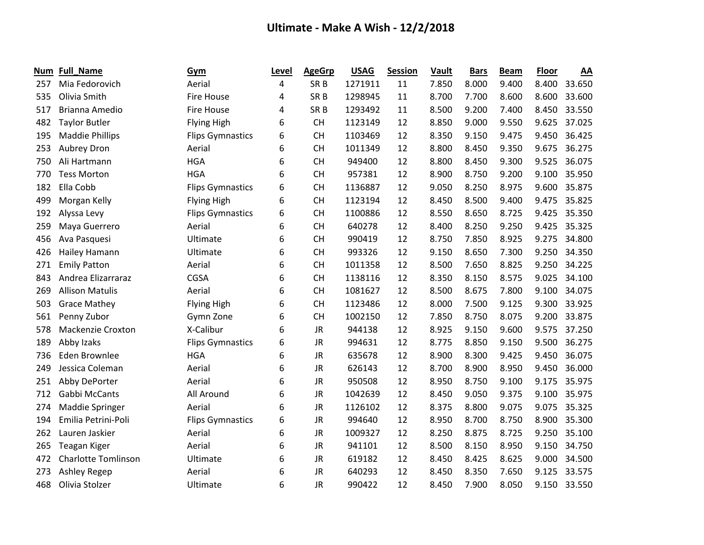| Num | <b>Full_Name</b>           | Gym                     | Level | <b>AgeGrp</b>   | <b>USAG</b> | <b>Session</b> | Vault | <b>Bars</b> | <b>Beam</b> | <b>Floor</b> | AA     |
|-----|----------------------------|-------------------------|-------|-----------------|-------------|----------------|-------|-------------|-------------|--------------|--------|
| 257 | Mia Fedorovich             | Aerial                  | 4     | SR <sub>B</sub> | 1271911     | 11             | 7.850 | 8.000       | 9.400       | 8.400        | 33.650 |
| 535 | Olivia Smith               | <b>Fire House</b>       | 4     | SR <sub>B</sub> | 1298945     | 11             | 8.700 | 7.700       | 8.600       | 8.600        | 33.600 |
| 517 | Brianna Amedio             | <b>Fire House</b>       | 4     | SR <sub>B</sub> | 1293492     | 11             | 8.500 | 9.200       | 7.400       | 8.450        | 33.550 |
| 482 | <b>Taylor Butler</b>       | <b>Flying High</b>      | 6     | <b>CH</b>       | 1123149     | 12             | 8.850 | 9.000       | 9.550       | 9.625        | 37.025 |
| 195 | <b>Maddie Phillips</b>     | <b>Flips Gymnastics</b> | 6     | <b>CH</b>       | 1103469     | 12             | 8.350 | 9.150       | 9.475       | 9.450        | 36.425 |
| 253 | Aubrey Dron                | Aerial                  | 6     | <b>CH</b>       | 1011349     | 12             | 8.800 | 8.450       | 9.350       | 9.675        | 36.275 |
| 750 | Ali Hartmann               | <b>HGA</b>              | 6     | <b>CH</b>       | 949400      | 12             | 8.800 | 8.450       | 9.300       | 9.525        | 36.075 |
| 770 | <b>Tess Morton</b>         | <b>HGA</b>              | 6     | <b>CH</b>       | 957381      | 12             | 8.900 | 8.750       | 9.200       | 9.100        | 35.950 |
| 182 | Ella Cobb                  | <b>Flips Gymnastics</b> | 6     | <b>CH</b>       | 1136887     | 12             | 9.050 | 8.250       | 8.975       | 9.600        | 35.875 |
| 499 | Morgan Kelly               | <b>Flying High</b>      | 6     | <b>CH</b>       | 1123194     | 12             | 8.450 | 8.500       | 9.400       | 9.475        | 35.825 |
| 192 | Alyssa Levy                | <b>Flips Gymnastics</b> | 6     | <b>CH</b>       | 1100886     | 12             | 8.550 | 8.650       | 8.725       | 9.425        | 35.350 |
| 259 | Maya Guerrero              | Aerial                  | 6     | <b>CH</b>       | 640278      | 12             | 8.400 | 8.250       | 9.250       | 9.425        | 35.325 |
| 456 | Ava Pasquesi               | Ultimate                | 6     | <b>CH</b>       | 990419      | 12             | 8.750 | 7.850       | 8.925       | 9.275        | 34.800 |
| 426 | Hailey Hamann              | Ultimate                | 6     | <b>CH</b>       | 993326      | 12             | 9.150 | 8.650       | 7.300       | 9.250        | 34.350 |
| 271 | <b>Emily Patton</b>        | Aerial                  | 6     | <b>CH</b>       | 1011358     | 12             | 8.500 | 7.650       | 8.825       | 9.250        | 34.225 |
| 843 | Andrea Elizarraraz         | <b>CGSA</b>             | 6     | <b>CH</b>       | 1138116     | 12             | 8.350 | 8.150       | 8.575       | 9.025        | 34.100 |
| 269 | <b>Allison Matulis</b>     | Aerial                  | 6     | <b>CH</b>       | 1081627     | 12             | 8.500 | 8.675       | 7.800       | 9.100        | 34.075 |
| 503 | <b>Grace Mathey</b>        | <b>Flying High</b>      | 6     | <b>CH</b>       | 1123486     | 12             | 8.000 | 7.500       | 9.125       | 9.300        | 33.925 |
| 561 | Penny Zubor                | Gymn Zone               | 6     | <b>CH</b>       | 1002150     | 12             | 7.850 | 8.750       | 8.075       | 9.200        | 33.875 |
| 578 | Mackenzie Croxton          | X-Calibur               | 6     | JR              | 944138      | 12             | 8.925 | 9.150       | 9.600       | 9.575        | 37.250 |
| 189 | Abby Izaks                 | <b>Flips Gymnastics</b> | 6     | <b>JR</b>       | 994631      | 12             | 8.775 | 8.850       | 9.150       | 9.500        | 36.275 |
| 736 | <b>Eden Brownlee</b>       | <b>HGA</b>              | 6     | <b>JR</b>       | 635678      | 12             | 8.900 | 8.300       | 9.425       | 9.450        | 36.075 |
| 249 | Jessica Coleman            | Aerial                  | 6     | <b>JR</b>       | 626143      | 12             | 8.700 | 8.900       | 8.950       | 9.450        | 36.000 |
| 251 | Abby DePorter              | Aerial                  | 6     | <b>JR</b>       | 950508      | 12             | 8.950 | 8.750       | 9.100       | 9.175        | 35.975 |
| 712 | Gabbi McCants              | All Around              | 6     | <b>JR</b>       | 1042639     | 12             | 8.450 | 9.050       | 9.375       | 9.100        | 35.975 |
| 274 | Maddie Springer            | Aerial                  | 6     | <b>JR</b>       | 1126102     | 12             | 8.375 | 8.800       | 9.075       | 9.075        | 35.325 |
| 194 | Emilia Petrini-Poli        | <b>Flips Gymnastics</b> | 6     | <b>JR</b>       | 994640      | 12             | 8.950 | 8.700       | 8.750       | 8.900        | 35.300 |
| 262 | Lauren Jaskier             | Aerial                  | 6     | <b>JR</b>       | 1009327     | 12             | 8.250 | 8.875       | 8.725       | 9.250        | 35.100 |
| 265 | Teagan Kiger               | Aerial                  | 6     | JR              | 941101      | 12             | 8.500 | 8.150       | 8.950       | 9.150        | 34.750 |
| 472 | <b>Charlotte Tomlinson</b> | Ultimate                | 6     | <b>JR</b>       | 619182      | 12             | 8.450 | 8.425       | 8.625       | 9.000        | 34.500 |
| 273 | Ashley Regep               | Aerial                  | 6     | <b>JR</b>       | 640293      | 12             | 8.450 | 8.350       | 7.650       | 9.125        | 33.575 |
| 468 | Olivia Stolzer             | Ultimate                | 6     | <b>JR</b>       | 990422      | 12             | 8.450 | 7.900       | 8.050       | 9.150        | 33.550 |